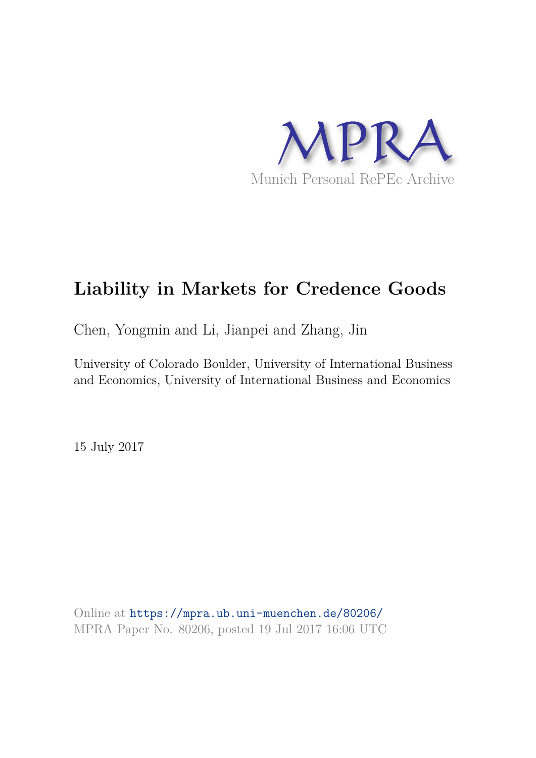

# **Liability in Markets for Credence Goods**

Chen, Yongmin and Li, Jianpei and Zhang, Jin

University of Colorado Boulder, University of International Business and Economics, University of International Business and Economics

15 July 2017

Online at https://mpra.ub.uni-muenchen.de/80206/ MPRA Paper No. 80206, posted 19 Jul 2017 16:06 UTC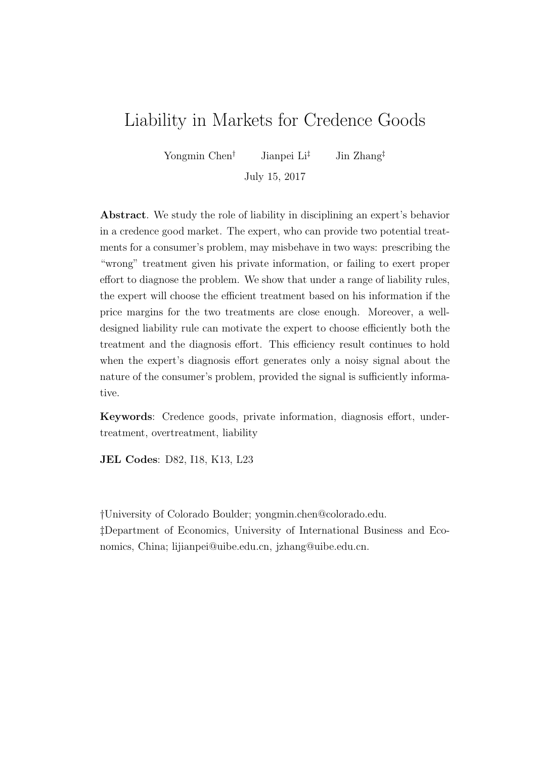# Liability in Markets for Credence Goods

Yongmin Chen<sup>†</sup> Jianpei Li<sup>‡</sup> Jin Zhang<sup>‡</sup>

July 15, 2017

Abstract. We study the role of liability in disciplining an expert's behavior in a credence good market. The expert, who can provide two potential treatments for a consumer's problem, may misbehave in two ways: prescribing the "wrong" treatment given his private information, or failing to exert proper effort to diagnose the problem. We show that under a range of liability rules, the expert will choose the efficient treatment based on his information if the price margins for the two treatments are close enough. Moreover, a welldesigned liability rule can motivate the expert to choose efficiently both the treatment and the diagnosis effort. This efficiency result continues to hold when the expert's diagnosis effort generates only a noisy signal about the nature of the consumer's problem, provided the signal is sufficiently informative.

Keywords: Credence goods, private information, diagnosis effort, undertreatment, overtreatment, liability

JEL Codes: D82, I18, K13, L23

†University of Colorado Boulder; yongmin.chen@colorado.edu. ‡Department of Economics, University of International Business and Economics, China; lijianpei@uibe.edu.cn, jzhang@uibe.edu.cn.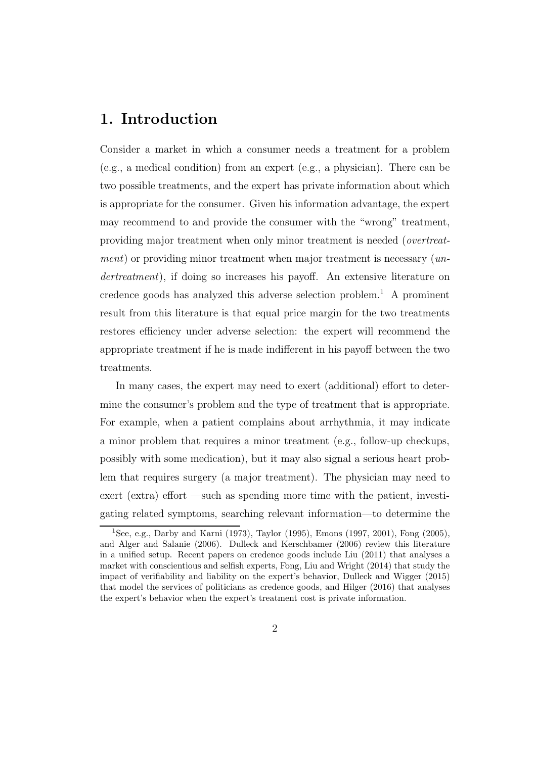### 1. Introduction

Consider a market in which a consumer needs a treatment for a problem (e.g., a medical condition) from an expert (e.g., a physician). There can be two possible treatments, and the expert has private information about which is appropriate for the consumer. Given his information advantage, the expert may recommend to and provide the consumer with the "wrong" treatment, providing major treatment when only minor treatment is needed (overtreatment) or providing minor treatment when major treatment is necessary (undertreatment), if doing so increases his payoff. An extensive literature on credence goods has analyzed this adverse selection problem.<sup>1</sup> A prominent result from this literature is that equal price margin for the two treatments restores efficiency under adverse selection: the expert will recommend the appropriate treatment if he is made indifferent in his payoff between the two treatments.

In many cases, the expert may need to exert (additional) effort to determine the consumer's problem and the type of treatment that is appropriate. For example, when a patient complains about arrhythmia, it may indicate a minor problem that requires a minor treatment (e.g., follow-up checkups, possibly with some medication), but it may also signal a serious heart problem that requires surgery (a major treatment). The physician may need to exert (extra) effort —such as spending more time with the patient, investigating related symptoms, searching relevant information—to determine the

<sup>&</sup>lt;sup>1</sup>See, e.g., Darby and Karni (1973), Taylor (1995), Emons (1997, 2001), Fong (2005), and Alger and Salanie (2006). Dulleck and Kerschbamer (2006) review this literature in a unified setup. Recent papers on credence goods include Liu (2011) that analyses a market with conscientious and selfish experts, Fong, Liu and Wright (2014) that study the impact of verifiability and liability on the expert's behavior, Dulleck and Wigger (2015) that model the services of politicians as credence goods, and Hilger (2016) that analyses the expert's behavior when the expert's treatment cost is private information.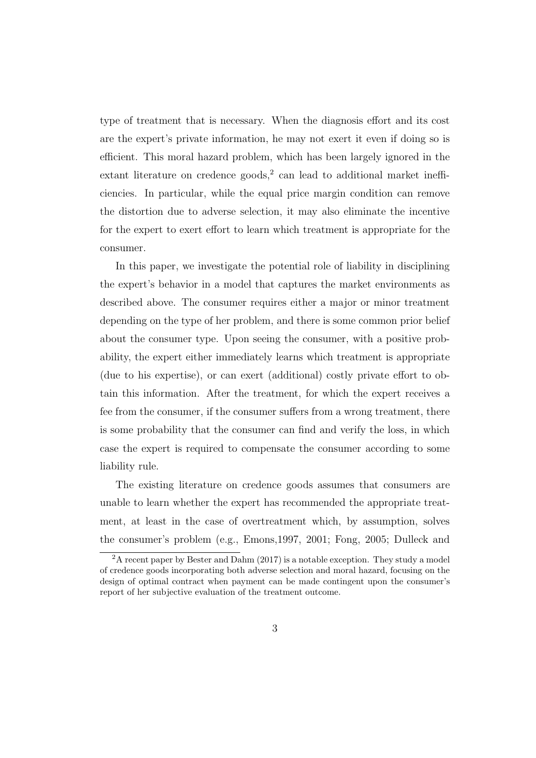type of treatment that is necessary. When the diagnosis effort and its cost are the expert's private information, he may not exert it even if doing so is efficient. This moral hazard problem, which has been largely ignored in the extant literature on credence goods,<sup>2</sup> can lead to additional market inefficiencies. In particular, while the equal price margin condition can remove the distortion due to adverse selection, it may also eliminate the incentive for the expert to exert effort to learn which treatment is appropriate for the consumer.

In this paper, we investigate the potential role of liability in disciplining the expert's behavior in a model that captures the market environments as described above. The consumer requires either a major or minor treatment depending on the type of her problem, and there is some common prior belief about the consumer type. Upon seeing the consumer, with a positive probability, the expert either immediately learns which treatment is appropriate (due to his expertise), or can exert (additional) costly private effort to obtain this information. After the treatment, for which the expert receives a fee from the consumer, if the consumer suffers from a wrong treatment, there is some probability that the consumer can find and verify the loss, in which case the expert is required to compensate the consumer according to some liability rule.

The existing literature on credence goods assumes that consumers are unable to learn whether the expert has recommended the appropriate treatment, at least in the case of overtreatment which, by assumption, solves the consumer's problem (e.g., Emons,1997, 2001; Fong, 2005; Dulleck and

<sup>&</sup>lt;sup>2</sup>A recent paper by Bester and Dahm (2017) is a notable exception. They study a model of credence goods incorporating both adverse selection and moral hazard, focusing on the design of optimal contract when payment can be made contingent upon the consumer's report of her subjective evaluation of the treatment outcome.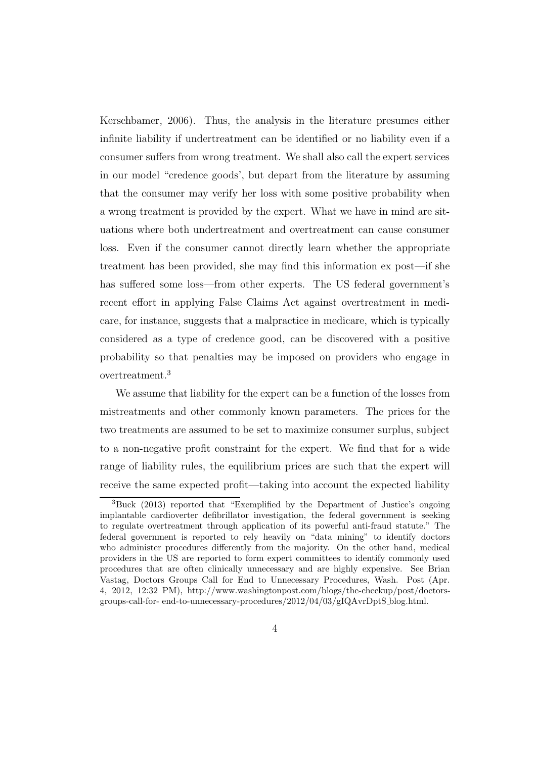Kerschbamer, 2006). Thus, the analysis in the literature presumes either infinite liability if undertreatment can be identified or no liability even if a consumer suffers from wrong treatment. We shall also call the expert services in our model "credence goods', but depart from the literature by assuming that the consumer may verify her loss with some positive probability when a wrong treatment is provided by the expert. What we have in mind are situations where both undertreatment and overtreatment can cause consumer loss. Even if the consumer cannot directly learn whether the appropriate treatment has been provided, she may find this information ex post—if she has suffered some loss—from other experts. The US federal government's recent effort in applying False Claims Act against overtreatment in medicare, for instance, suggests that a malpractice in medicare, which is typically considered as a type of credence good, can be discovered with a positive probability so that penalties may be imposed on providers who engage in overtreatment.<sup>3</sup>

We assume that liability for the expert can be a function of the losses from mistreatments and other commonly known parameters. The prices for the two treatments are assumed to be set to maximize consumer surplus, subject to a non-negative profit constraint for the expert. We find that for a wide range of liability rules, the equilibrium prices are such that the expert will receive the same expected profit—taking into account the expected liability

<sup>3</sup>Buck (2013) reported that "Exemplified by the Department of Justice's ongoing implantable cardioverter defibrillator investigation, the federal government is seeking to regulate overtreatment through application of its powerful anti-fraud statute." The federal government is reported to rely heavily on "data mining" to identify doctors who administer procedures differently from the majority. On the other hand, medical providers in the US are reported to form expert committees to identify commonly used procedures that are often clinically unnecessary and are highly expensive. See Brian Vastag, Doctors Groups Call for End to Unnecessary Procedures, Wash. Post (Apr. 4, 2012, 12:32 PM), http://www.washingtonpost.com/blogs/the-checkup/post/doctorsgroups-call-for- end-to-unnecessary-procedures/2012/04/03/gIQAvrDptS blog.html.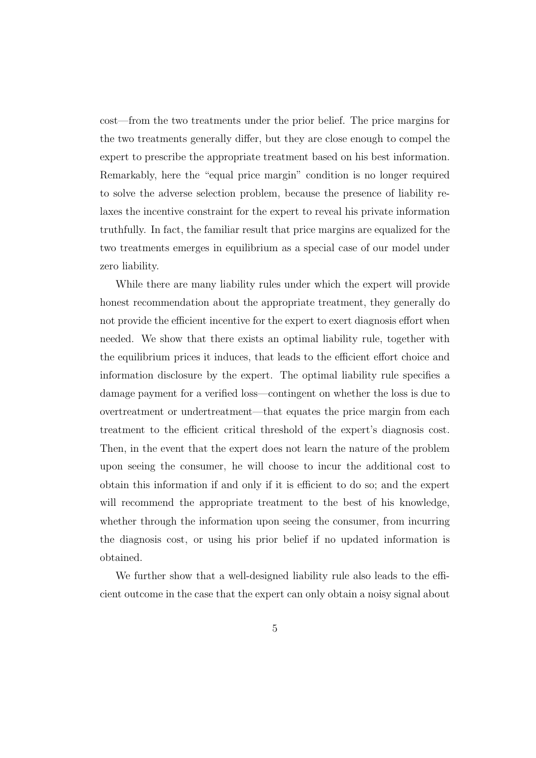cost—from the two treatments under the prior belief. The price margins for the two treatments generally differ, but they are close enough to compel the expert to prescribe the appropriate treatment based on his best information. Remarkably, here the "equal price margin" condition is no longer required to solve the adverse selection problem, because the presence of liability relaxes the incentive constraint for the expert to reveal his private information truthfully. In fact, the familiar result that price margins are equalized for the two treatments emerges in equilibrium as a special case of our model under zero liability.

While there are many liability rules under which the expert will provide honest recommendation about the appropriate treatment, they generally do not provide the efficient incentive for the expert to exert diagnosis effort when needed. We show that there exists an optimal liability rule, together with the equilibrium prices it induces, that leads to the efficient effort choice and information disclosure by the expert. The optimal liability rule specifies a damage payment for a verified loss—contingent on whether the loss is due to overtreatment or undertreatment—that equates the price margin from each treatment to the efficient critical threshold of the expert's diagnosis cost. Then, in the event that the expert does not learn the nature of the problem upon seeing the consumer, he will choose to incur the additional cost to obtain this information if and only if it is efficient to do so; and the expert will recommend the appropriate treatment to the best of his knowledge, whether through the information upon seeing the consumer, from incurring the diagnosis cost, or using his prior belief if no updated information is obtained.

We further show that a well-designed liability rule also leads to the efficient outcome in the case that the expert can only obtain a noisy signal about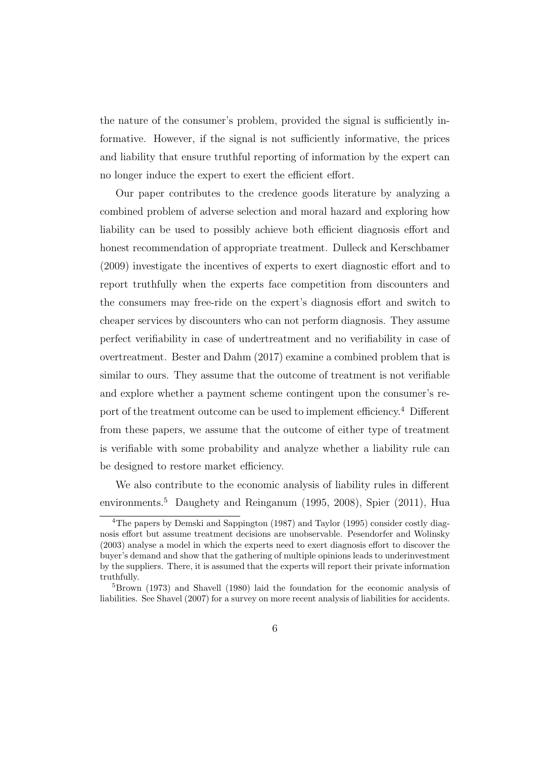the nature of the consumer's problem, provided the signal is sufficiently informative. However, if the signal is not sufficiently informative, the prices and liability that ensure truthful reporting of information by the expert can no longer induce the expert to exert the efficient effort.

Our paper contributes to the credence goods literature by analyzing a combined problem of adverse selection and moral hazard and exploring how liability can be used to possibly achieve both efficient diagnosis effort and honest recommendation of appropriate treatment. Dulleck and Kerschbamer (2009) investigate the incentives of experts to exert diagnostic effort and to report truthfully when the experts face competition from discounters and the consumers may free-ride on the expert's diagnosis effort and switch to cheaper services by discounters who can not perform diagnosis. They assume perfect verifiability in case of undertreatment and no verifiability in case of overtreatment. Bester and Dahm (2017) examine a combined problem that is similar to ours. They assume that the outcome of treatment is not verifiable and explore whether a payment scheme contingent upon the consumer's report of the treatment outcome can be used to implement efficiency.<sup>4</sup> Different from these papers, we assume that the outcome of either type of treatment is verifiable with some probability and analyze whether a liability rule can be designed to restore market efficiency.

We also contribute to the economic analysis of liability rules in different environments.<sup>5</sup> Daughety and Reinganum (1995, 2008), Spier (2011), Hua

<sup>&</sup>lt;sup>4</sup>The papers by Demski and Sappington (1987) and Taylor (1995) consider costly diagnosis effort but assume treatment decisions are unobservable. Pesendorfer and Wolinsky (2003) analyse a model in which the experts need to exert diagnosis effort to discover the buyer's demand and show that the gathering of multiple opinions leads to underinvestment by the suppliers. There, it is assumed that the experts will report their private information truthfully.

<sup>5</sup>Brown (1973) and Shavell (1980) laid the foundation for the economic analysis of liabilities. See Shavel (2007) for a survey on more recent analysis of liabilities for accidents.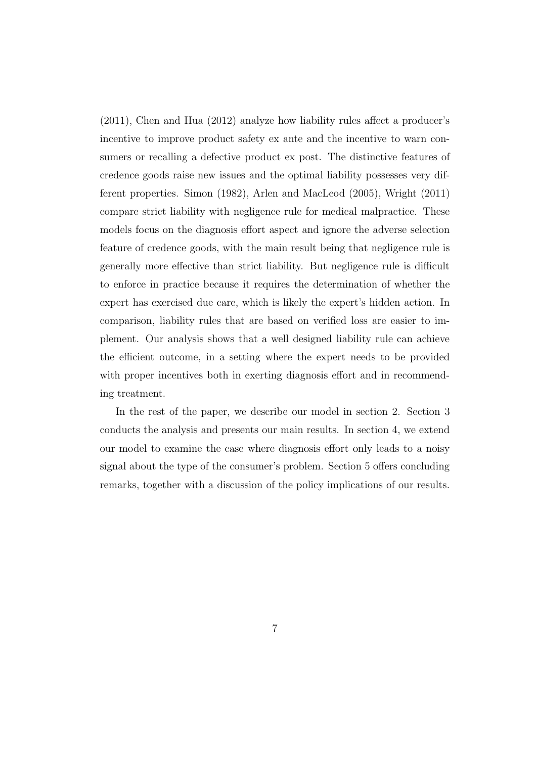(2011), Chen and Hua (2012) analyze how liability rules affect a producer's incentive to improve product safety ex ante and the incentive to warn consumers or recalling a defective product ex post. The distinctive features of credence goods raise new issues and the optimal liability possesses very different properties. Simon (1982), Arlen and MacLeod (2005), Wright (2011) compare strict liability with negligence rule for medical malpractice. These models focus on the diagnosis effort aspect and ignore the adverse selection feature of credence goods, with the main result being that negligence rule is generally more effective than strict liability. But negligence rule is difficult to enforce in practice because it requires the determination of whether the expert has exercised due care, which is likely the expert's hidden action. In comparison, liability rules that are based on verified loss are easier to implement. Our analysis shows that a well designed liability rule can achieve the efficient outcome, in a setting where the expert needs to be provided with proper incentives both in exerting diagnosis effort and in recommending treatment.

In the rest of the paper, we describe our model in section 2. Section 3 conducts the analysis and presents our main results. In section 4, we extend our model to examine the case where diagnosis effort only leads to a noisy signal about the type of the consumer's problem. Section 5 offers concluding remarks, together with a discussion of the policy implications of our results.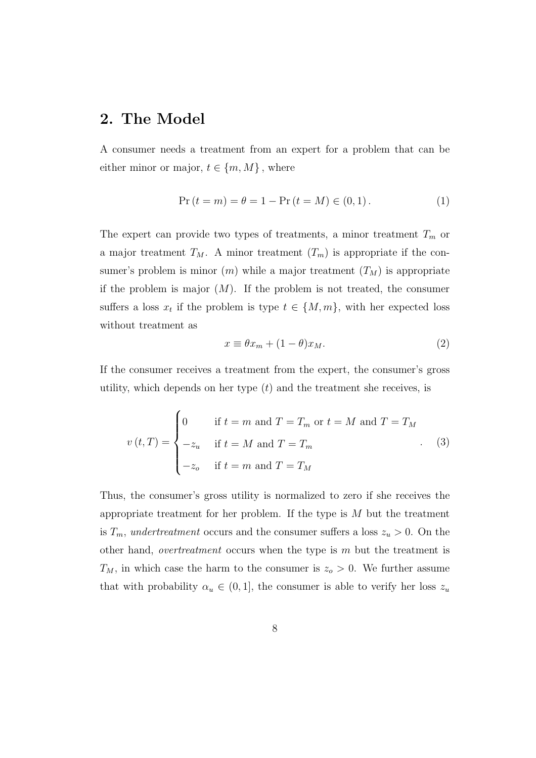## 2. The Model

A consumer needs a treatment from an expert for a problem that can be either minor or major,  $t \in \{m, M\}$ , where

$$
Pr(t = m) = \theta = 1 - Pr(t = M) \in (0, 1).
$$
 (1)

The expert can provide two types of treatments, a minor treatment  $T_m$  or a major treatment  $T_M$ . A minor treatment  $(T_m)$  is appropriate if the consumer's problem is minor  $(m)$  while a major treatment  $(T_M)$  is appropriate if the problem is major  $(M)$ . If the problem is not treated, the consumer suffers a loss  $x_t$  if the problem is type  $t \in \{M, m\}$ , with her expected loss without treatment as

$$
x \equiv \theta x_m + (1 - \theta)x_M. \tag{2}
$$

If the consumer receives a treatment from the expert, the consumer's gross utility, which depends on her type  $(t)$  and the treatment she receives, is

$$
v(t,T) = \begin{cases} 0 & \text{if } t=m \text{ and } T=T_m \text{ or } t=M \text{ and } T=T_M \\ -z_u & \text{if } t=M \text{ and } T=T_m \\ -z_o & \text{if } t=m \text{ and } T=T_M \end{cases}
$$
(3)

Thus, the consumer's gross utility is normalized to zero if she receives the appropriate treatment for her problem. If the type is  $M$  but the treatment is  $T_m$ , undertreatment occurs and the consumer suffers a loss  $z_u > 0$ . On the other hand, *overtreatment* occurs when the type is  $m$  but the treatment is  $T_M$ , in which case the harm to the consumer is  $z_o > 0$ . We further assume that with probability  $\alpha_u \in (0,1]$ , the consumer is able to verify her loss  $z_u$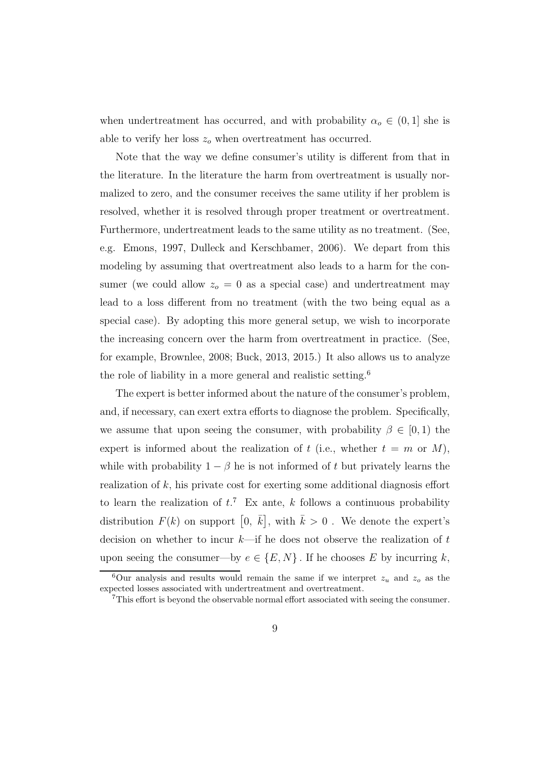when undertreatment has occurred, and with probability  $\alpha_o \in (0,1]$  she is able to verify her loss  $z<sub>o</sub>$  when overtreatment has occurred.

Note that the way we define consumer's utility is different from that in the literature. In the literature the harm from overtreatment is usually normalized to zero, and the consumer receives the same utility if her problem is resolved, whether it is resolved through proper treatment or overtreatment. Furthermore, undertreatment leads to the same utility as no treatment. (See, e.g. Emons, 1997, Dulleck and Kerschbamer, 2006). We depart from this modeling by assuming that overtreatment also leads to a harm for the consumer (we could allow  $z_0 = 0$  as a special case) and undertreatment may lead to a loss different from no treatment (with the two being equal as a special case). By adopting this more general setup, we wish to incorporate the increasing concern over the harm from overtreatment in practice. (See, for example, Brownlee, 2008; Buck, 2013, 2015.) It also allows us to analyze the role of liability in a more general and realistic setting.<sup>6</sup>

The expert is better informed about the nature of the consumer's problem, and, if necessary, can exert extra efforts to diagnose the problem. Specifically, we assume that upon seeing the consumer, with probability  $\beta \in [0,1)$  the expert is informed about the realization of t (i.e., whether  $t = m$  or M), while with probability  $1 - \beta$  he is not informed of t but privately learns the realization of  $k$ , his private cost for exerting some additional diagnosis effort to learn the realization of  $t^7$ . Ex ante, k follows a continuous probability distribution  $F(k)$  on support  $[0, \bar{k}],$  with  $\bar{k} > 0$ . We denote the expert's decision on whether to incur  $k$ —if he does not observe the realization of t upon seeing the consumer—by  $e \in \{E, N\}$ . If he chooses E by incurring k,

<sup>&</sup>lt;sup>6</sup>Our analysis and results would remain the same if we interpret  $z_u$  and  $z_o$  as the expected losses associated with undertreatment and overtreatment.

 $7$ This effort is beyond the observable normal effort associated with seeing the consumer.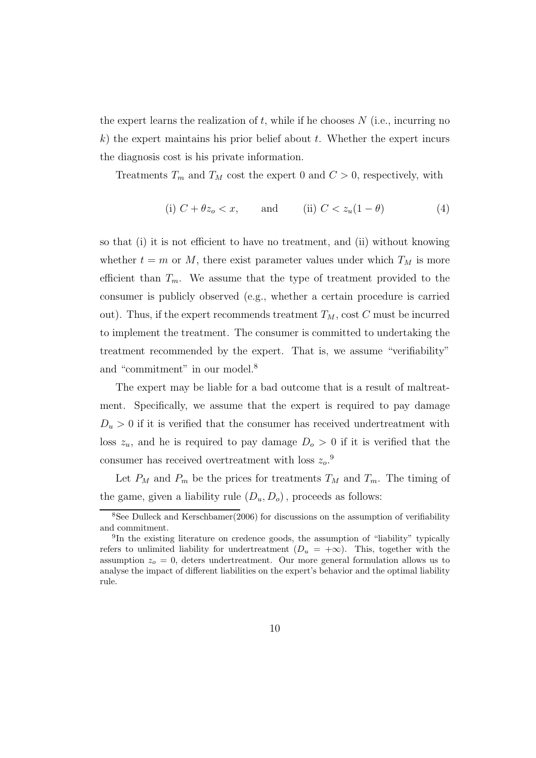the expert learns the realization of  $t$ , while if he chooses  $N$  (i.e., incurring no  $k$ ) the expert maintains his prior belief about t. Whether the expert incurs the diagnosis cost is his private information.

Treatments  $T_m$  and  $T_M$  cost the expert 0 and  $C > 0$ , respectively, with

(i) 
$$
C + \theta z_o < x
$$
, and (ii)  $C < z_u(1 - \theta)$  (4)

so that (i) it is not efficient to have no treatment, and (ii) without knowing whether  $t = m$  or M, there exist parameter values under which  $T_M$  is more efficient than  $T_m$ . We assume that the type of treatment provided to the consumer is publicly observed (e.g., whether a certain procedure is carried out). Thus, if the expert recommends treatment  $T_M$ , cost C must be incurred to implement the treatment. The consumer is committed to undertaking the treatment recommended by the expert. That is, we assume "verifiability" and "commitment" in our model.<sup>8</sup>

The expert may be liable for a bad outcome that is a result of maltreatment. Specifically, we assume that the expert is required to pay damage  $D_u > 0$  if it is verified that the consumer has received undertreatment with loss  $z_u$ , and he is required to pay damage  $D<sub>o</sub> > 0$  if it is verified that the consumer has received overtreatment with loss  $z_o$ .<sup>9</sup>

Let  $P_M$  and  $P_m$  be the prices for treatments  $T_M$  and  $T_m$ . The timing of the game, given a liability rule  $(D_u, D_o)$ , proceeds as follows:

<sup>8</sup>See Dulleck and Kerschbamer(2006) for discussions on the assumption of verifiability and commitment.

<sup>&</sup>lt;sup>9</sup>In the existing literature on credence goods, the assumption of "liability" typically refers to unlimited liability for undertreatment  $(D_u = +\infty)$ . This, together with the assumption  $z<sub>o</sub> = 0$ , deters undertreatment. Our more general formulation allows us to analyse the impact of different liabilities on the expert's behavior and the optimal liability rule.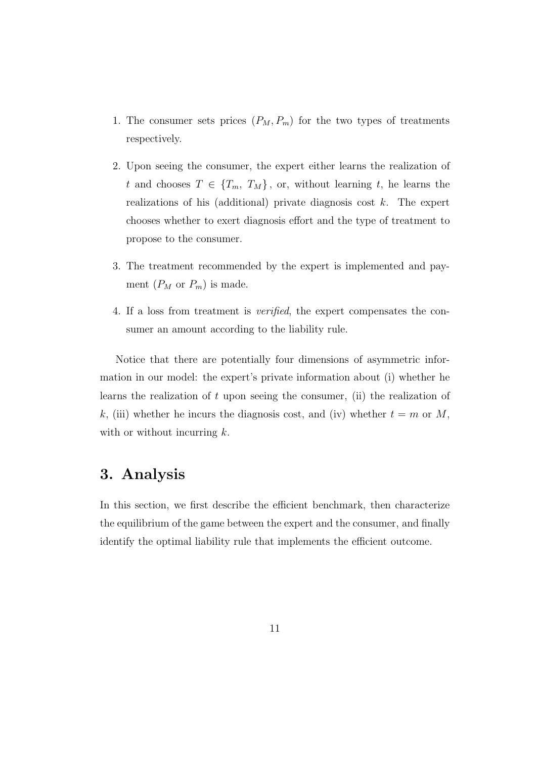- 1. The consumer sets prices  $(P_M, P_m)$  for the two types of treatments respectively.
- 2. Upon seeing the consumer, the expert either learns the realization of t and chooses  $T \in \{T_m, T_M\}$ , or, without learning t, he learns the realizations of his (additional) private diagnosis cost  $k$ . The expert chooses whether to exert diagnosis effort and the type of treatment to propose to the consumer.
- 3. The treatment recommended by the expert is implemented and payment  $(P_M \text{ or } P_m)$  is made.
- 4. If a loss from treatment is verified, the expert compensates the consumer an amount according to the liability rule.

Notice that there are potentially four dimensions of asymmetric information in our model: the expert's private information about (i) whether he learns the realization of t upon seeing the consumer, (ii) the realization of k, (iii) whether he incurs the diagnosis cost, and (iv) whether  $t = m$  or M, with or without incurring  $k$ .

### 3. Analysis

In this section, we first describe the efficient benchmark, then characterize the equilibrium of the game between the expert and the consumer, and finally identify the optimal liability rule that implements the efficient outcome.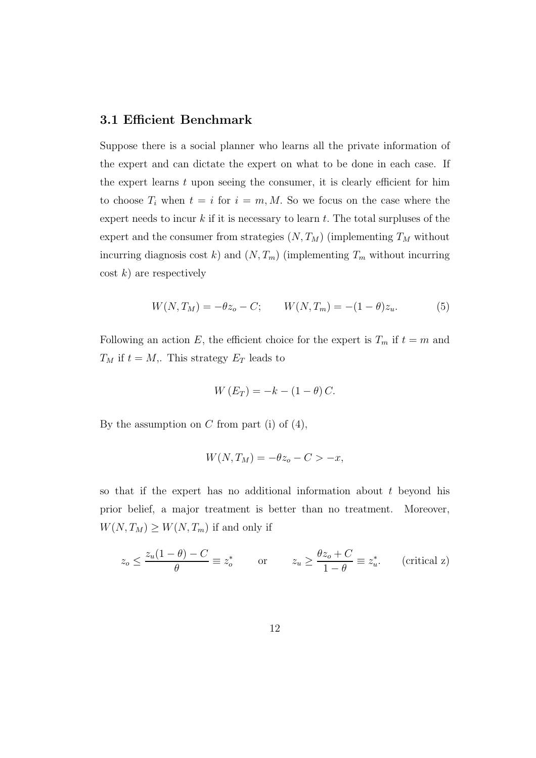#### 3.1 Efficient Benchmark

Suppose there is a social planner who learns all the private information of the expert and can dictate the expert on what to be done in each case. If the expert learns  $t$  upon seeing the consumer, it is clearly efficient for him to choose  $T_i$  when  $t = i$  for  $i = m, M$ . So we focus on the case where the expert needs to incur  $k$  if it is necessary to learn  $t$ . The total surpluses of the expert and the consumer from strategies  $(N, T_M)$  (implementing  $T_M$  without incurring diagnosis cost k) and  $(N, T_m)$  (implementing  $T_m$  without incurring  $\cosh k$  are respectively

$$
W(N, T_M) = -\theta z_o - C; \qquad W(N, T_m) = -(1 - \theta) z_u.
$$
 (5)

Following an action E, the efficient choice for the expert is  $T_m$  if  $t = m$  and  $T_M$  if  $t = M$ ,. This strategy  $E_T$  leads to

$$
W(E_T) = -k - (1 - \theta) C.
$$

By the assumption on  $C$  from part (i) of  $(4)$ ,

$$
W(N,T_M) = -\theta z_o - C > -x,
$$

so that if the expert has no additional information about  $t$  beyond his prior belief, a major treatment is better than no treatment. Moreover,  $W(N, T_M) \geq W(N, T_m)$  if and only if

$$
z_o \le \frac{z_u(1-\theta)-C}{\theta} \equiv z_o^* \qquad \text{or} \qquad z_u \ge \frac{\theta z_o + C}{1-\theta} \equiv z_u^*.
$$
 (critical z)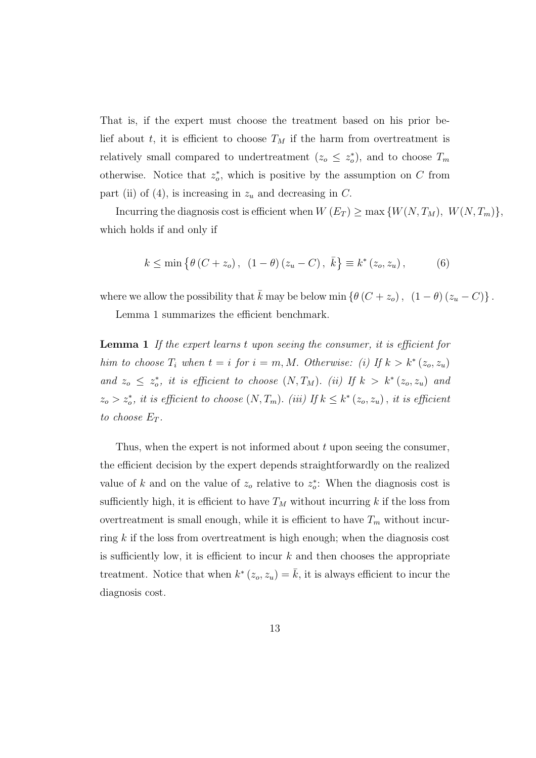That is, if the expert must choose the treatment based on his prior belief about t, it is efficient to choose  $T_M$  if the harm from overtreatment is relatively small compared to undertreatment  $(z_o \leq z_o^*)$ , and to choose  $T_m$ otherwise. Notice that  $z_o^*$ , which is positive by the assumption on C from part (ii) of (4), is increasing in  $z_u$  and decreasing in C.

Incurring the diagnosis cost is efficient when  $W(E_T) \ge \max \{W(N,T_M), W(N,T_m)\},$ which holds if and only if

$$
k \le \min\left\{\theta\left(C+z_o\right), (1-\theta)\left(z_u - C\right), \bar{k}\right\} \equiv k^*\left(z_o, z_u\right),\tag{6}
$$

where we allow the possibility that  $\bar{k}$  may be below min { $\theta$  ( $C + z_o$ ),  $(1 - \theta) (z_u - C)$ }.

Lemma 1 summarizes the efficient benchmark.

Lemma 1 If the expert learns t upon seeing the consumer, it is efficient for him to choose  $T_i$  when  $t = i$  for  $i = m, M$ . Otherwise: (i) If  $k > k^*(z_o, z_u)$ and  $z_o \leq z_o^*$ , it is efficient to choose  $(N, T_M)$ . (ii) If  $k > k^* (z_o, z_u)$  and  $z_o > z_o^*$ , it is efficient to choose  $(N, T_m)$ . (iii) If  $k \leq k^* (z_o, z_u)$ , it is efficient to choose  $E_T$ .

Thus, when the expert is not informed about  $t$  upon seeing the consumer, the efficient decision by the expert depends straightforwardly on the realized value of k and on the value of  $z<sub>o</sub>$  relative to  $z<sub>o</sub><sup>*</sup>$ : When the diagnosis cost is sufficiently high, it is efficient to have  $T_M$  without incurring k if the loss from overtreatment is small enough, while it is efficient to have  $T_m$  without incurring  $k$  if the loss from overtreatment is high enough; when the diagnosis cost is sufficiently low, it is efficient to incur  $k$  and then chooses the appropriate treatment. Notice that when  $k^*(z_o, z_u) = \overline{k}$ , it is always efficient to incur the diagnosis cost.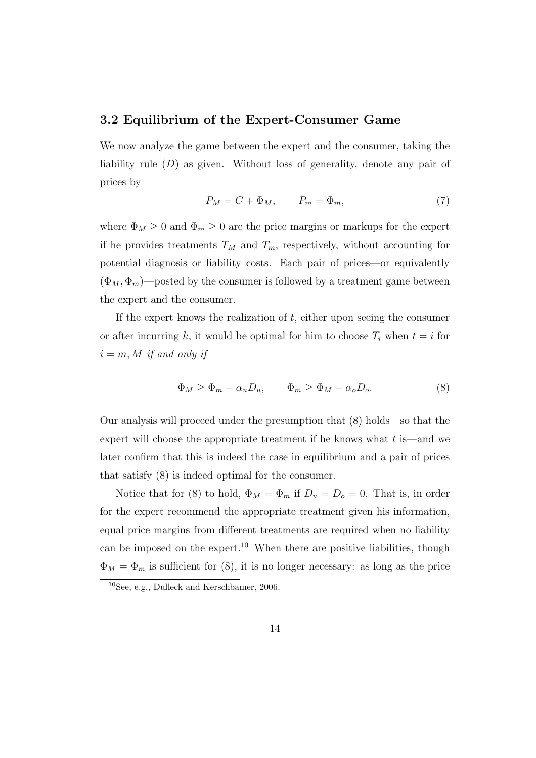#### 3.2 Equilibrium of the Expert-Consumer Game

We now analyze the game between the expert and the consumer, taking the liability rule  $(D)$  as given. Without loss of generality, denote any pair of prices by

$$
P_M = C + \Phi_M, \qquad P_m = \Phi_m,\tag{7}
$$

where  $\Phi_M \geq 0$  and  $\Phi_m \geq 0$  are the price margins or markups for the expert if he provides treatments  $T_M$  and  $T_m$ , respectively, without accounting for potential diagnosis or liability costs. Each pair of prices—or equivalently  $(\Phi_M, \Phi_m)$ —posted by the consumer is followed by a treatment game between the expert and the consumer.

If the expert knows the realization of  $t$ , either upon seeing the consumer or after incurring k, it would be optimal for him to choose  $T_i$  when  $t = i$  for  $i = m, M$  if and only if

$$
\Phi_M \ge \Phi_m - \alpha_u D_u, \qquad \Phi_m \ge \Phi_M - \alpha_o D_o. \tag{8}
$$

Our analysis will proceed under the presumption that (8) holds—so that the expert will choose the appropriate treatment if he knows what  $t$  is—and we later confirm that this is indeed the case in equilibrium and a pair of prices that satisfy (8) is indeed optimal for the consumer.

Notice that for (8) to hold,  $\Phi_M = \Phi_m$  if  $D_u = D_o = 0$ . That is, in order for the expert recommend the appropriate treatment given his information, equal price margins from different treatments are required when no liability can be imposed on the expert.<sup>10</sup> When there are positive liabilities, though  $\Phi_M = \Phi_m$  is sufficient for (8), it is no longer necessary: as long as the price

 $10$  See, e.g., Dulleck and Kerschbamer, 2006.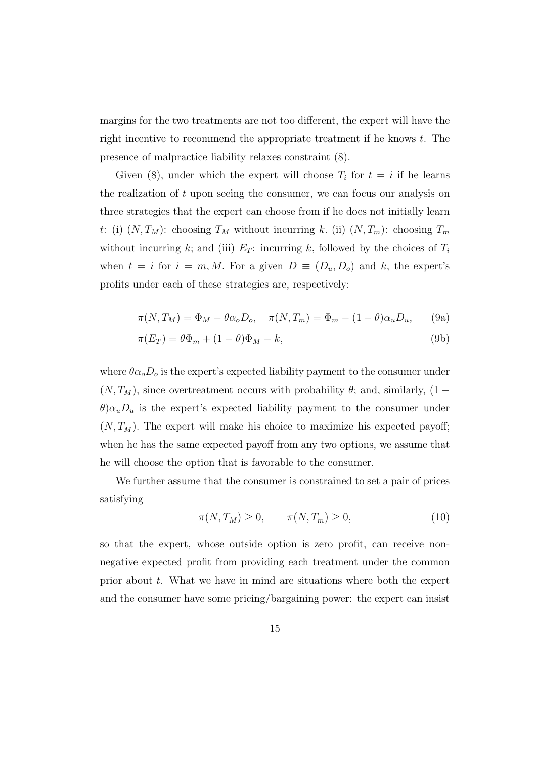margins for the two treatments are not too different, the expert will have the right incentive to recommend the appropriate treatment if he knows t. The presence of malpractice liability relaxes constraint (8).

Given (8), under which the expert will choose  $T_i$  for  $t = i$  if he learns the realization of  $t$  upon seeing the consumer, we can focus our analysis on three strategies that the expert can choose from if he does not initially learn t: (i)  $(N, T_M)$ : choosing  $T_M$  without incurring k. (ii)  $(N, T_m)$ : choosing  $T_m$ without incurring k; and (iii)  $E_T$ : incurring k, followed by the choices of  $T_i$ when  $t = i$  for  $i = m, M$ . For a given  $D \equiv (D_u, D_o)$  and k, the expert's profits under each of these strategies are, respectively:

$$
\pi(N,T_M) = \Phi_M - \theta \alpha_o D_o, \quad \pi(N,T_m) = \Phi_m - (1-\theta)\alpha_u D_u, \quad (9a)
$$

$$
\pi(E_T) = \theta \Phi_m + (1 - \theta)\Phi_M - k,\tag{9b}
$$

where  $\theta \alpha_o D_o$  is the expert's expected liability payment to the consumer under  $(N, T_M)$ , since overtreatment occurs with probability  $\theta$ ; and, similarly,  $(1 \theta$ ) $\alpha_u$  is the expert's expected liability payment to the consumer under  $(N, T_M)$ . The expert will make his choice to maximize his expected payoff; when he has the same expected payoff from any two options, we assume that he will choose the option that is favorable to the consumer.

We further assume that the consumer is constrained to set a pair of prices satisfying

$$
\pi(N, T_M) \ge 0, \qquad \pi(N, T_m) \ge 0,\tag{10}
$$

so that the expert, whose outside option is zero profit, can receive nonnegative expected profit from providing each treatment under the common prior about  $t$ . What we have in mind are situations where both the expert and the consumer have some pricing/bargaining power: the expert can insist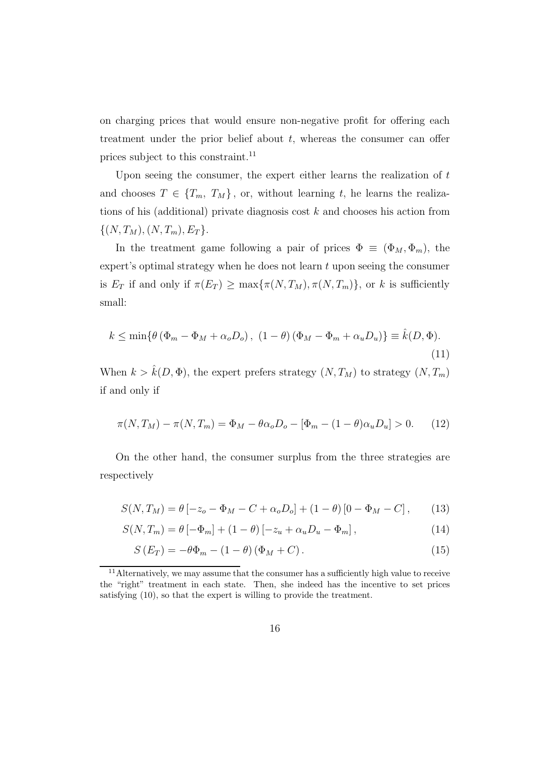on charging prices that would ensure non-negative profit for offering each treatment under the prior belief about  $t$ , whereas the consumer can offer prices subject to this constraint.<sup>11</sup>

Upon seeing the consumer, the expert either learns the realization of  $t$ and chooses  $T \in \{T_m, T_M\}$ , or, without learning t, he learns the realizations of his (additional) private diagnosis cost  $k$  and chooses his action from  $\{(N, T_M), (N, T_m), E_T\}.$ 

In the treatment game following a pair of prices  $\Phi \equiv (\Phi_M, \Phi_m)$ , the expert's optimal strategy when he does not learn  $t$  upon seeing the consumer is  $E_T$  if and only if  $\pi(E_T) \ge \max{\pi(N, T_M), \pi(N, T_m)}$ , or k is sufficiently small:

$$
k \le \min\{\theta(\Phi_m - \Phi_M + \alpha_o D_o), (1 - \theta)(\Phi_M - \Phi_m + \alpha_u D_u)\} \equiv \hat{k}(D, \Phi).
$$
\n(11)

When  $k > \hat{k}(D, \Phi)$ , the expert prefers strategy  $(N, T_M)$  to strategy  $(N, T_m)$ if and only if

$$
\pi(N, T_M) - \pi(N, T_m) = \Phi_M - \theta \alpha_o D_o - [\Phi_m - (1 - \theta) \alpha_u D_u] > 0. \tag{12}
$$

On the other hand, the consumer surplus from the three strategies are respectively

$$
S(N,T_M) = \theta \left[ -z_o - \Phi_M - C + \alpha_o D_o \right] + (1 - \theta) \left[ 0 - \Phi_M - C \right], \tag{13}
$$

$$
S(N, T_m) = \theta \left[ -\Phi_m \right] + (1 - \theta) \left[ -z_u + \alpha_u D_u - \Phi_m \right],
$$
\n(14)

$$
S(E_T) = -\theta \Phi_m - (1 - \theta) (\Phi_M + C). \tag{15}
$$

<sup>&</sup>lt;sup>11</sup>Alternatively, we may assume that the consumer has a sufficiently high value to receive the "right" treatment in each state. Then, she indeed has the incentive to set prices satisfying (10), so that the expert is willing to provide the treatment.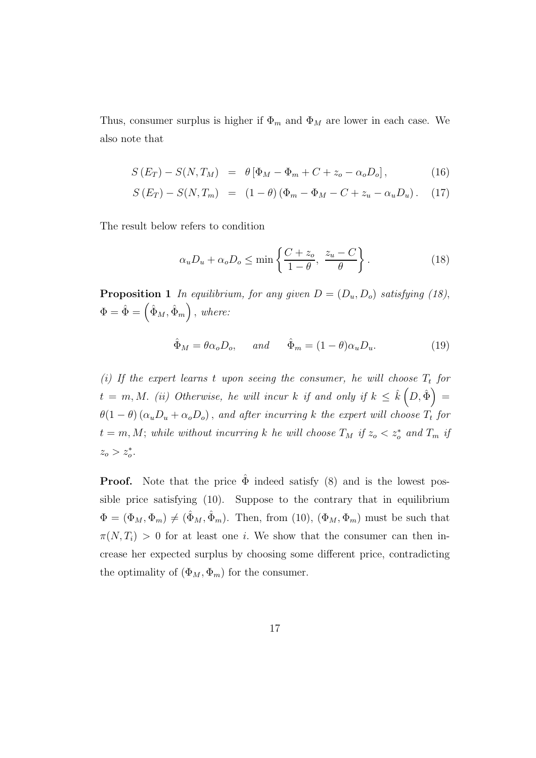Thus, consumer surplus is higher if  $\Phi_m$  and  $\Phi_M$  are lower in each case. We also note that

$$
S(E_T) - S(N, T_M) = \theta [\Phi_M - \Phi_m + C + z_o - \alpha_o D_o], \qquad (16)
$$

$$
S(E_T) - S(N, T_m) = (1 - \theta) (\Phi_m - \Phi_M - C + z_u - \alpha_u D_u). \quad (17)
$$

The result below refers to condition

$$
\alpha_u D_u + \alpha_o D_o \le \min \left\{ \frac{C + z_o}{1 - \theta}, \frac{z_u - C}{\theta} \right\}.
$$
 (18)

**Proposition 1** In equilibrium, for any given  $D = (D_u, D_o)$  satisfying (18),  $\Phi = \hat{\Phi} = (\hat{\Phi}_M, \hat{\Phi}_m)$ , where:

$$
\hat{\Phi}_M = \theta \alpha_o D_o, \quad \text{and} \quad \hat{\Phi}_m = (1 - \theta) \alpha_u D_u. \tag{19}
$$

(i) If the expert learns t upon seeing the consumer, he will choose  $T_t$  for  $t\,=\,m, M.\,\,\,(ii)\,\,\, Otherwise,\,\,he\,\,will\,\,incurk\,\,if\,\,and\,\,only\,\,if\,\,k\,\leq\,\hat{k}\,\Bigl(D,\hat{\Phi}\Bigr)\,=\,$  $\theta(1-\theta)(\alpha_u D_u + \alpha_o D_o)$ , and after incurring k the expert will choose  $T_t$  for  $t = m, M$ ; while without incurring k he will choose  $T_M$  if  $z_o < z_o^*$  and  $T_m$  if  $z_o > z_o^*$ .

**Proof.** Note that the price  $\hat{\Phi}$  indeed satisfy (8) and is the lowest possible price satisfying (10). Suppose to the contrary that in equilibrium  $\Phi = (\Phi_M, \Phi_m) \neq (\hat{\Phi}_M, \hat{\Phi}_m)$ . Then, from (10),  $(\Phi_M, \Phi_m)$  must be such that  $\pi(N, T_i) > 0$  for at least one *i*. We show that the consumer can then increase her expected surplus by choosing some different price, contradicting the optimality of  $(\Phi_M, \Phi_m)$  for the consumer.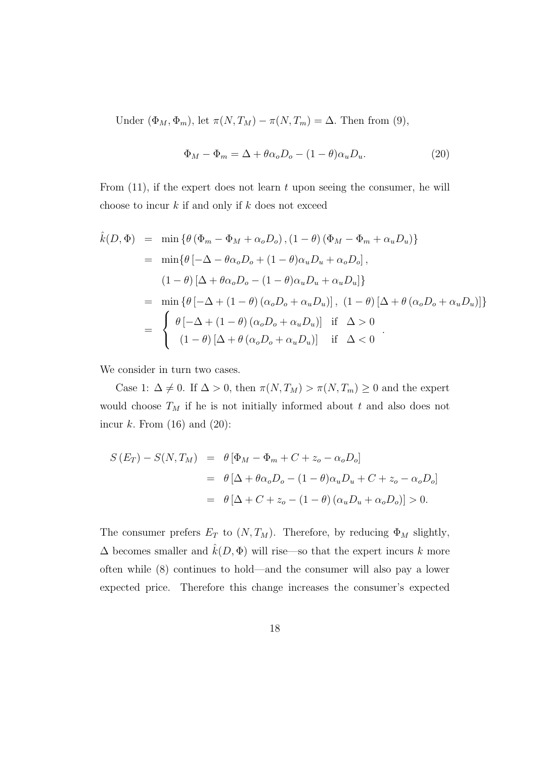Under  $(\Phi_M, \Phi_m)$ , let  $\pi(N, T_M) - \pi(N, T_m) = \Delta$ . Then from (9),

$$
\Phi_M - \Phi_m = \Delta + \theta \alpha_o D_o - (1 - \theta) \alpha_u D_u.
$$
\n(20)

From  $(11)$ , if the expert does not learn t upon seeing the consumer, he will choose to incur  $k$  if and only if  $k$  does not exceed

$$
\hat{k}(D, \Phi) = \min \{ \theta (\Phi_m - \Phi_M + \alpha_o D_o), (1 - \theta) (\Phi_M - \Phi_m + \alpha_u D_u) \}
$$
\n
$$
= \min \{ \theta [-\Delta - \theta \alpha_o D_o + (1 - \theta) \alpha_u D_u + \alpha_o D_o],
$$
\n
$$
(1 - \theta) [\Delta + \theta \alpha_o D_o - (1 - \theta) \alpha_u D_u + \alpha_u D_u] \}
$$
\n
$$
= \min \{ \theta [-\Delta + (1 - \theta) (\alpha_o D_o + \alpha_u D_u)], (1 - \theta) [\Delta + \theta (\alpha_o D_o + \alpha_u D_u)] \}
$$
\n
$$
= \begin{cases}\n\theta [-\Delta + (1 - \theta) (\alpha_o D_o + \alpha_u D_u)] & \text{if } \Delta > 0 \\
(1 - \theta) [\Delta + \theta (\alpha_o D_o + \alpha_u D_u)] & \text{if } \Delta < 0\n\end{cases}.
$$

We consider in turn two cases.

Case 1:  $\Delta \neq 0$ . If  $\Delta > 0$ , then  $\pi(N, T_M) > \pi(N, T_m) \geq 0$  and the expert would choose  $T_M$  if he is not initially informed about t and also does not incur k. From  $(16)$  and  $(20)$ :

$$
S(E_T) - S(N, T_M) = \theta [\Phi_M - \Phi_m + C + z_o - \alpha_o D_o]
$$
  
=  $\theta [\Delta + \theta \alpha_o D_o - (1 - \theta) \alpha_u D_u + C + z_o - \alpha_o D_o]$   
=  $\theta [\Delta + C + z_o - (1 - \theta) (\alpha_u D_u + \alpha_o D_o)] > 0.$ 

The consumer prefers  $E_T$  to  $(N, T_M)$ . Therefore, by reducing  $\Phi_M$  slightly,  $\Delta$  becomes smaller and  $\hat{k}(D, \Phi)$  will rise—so that the expert incurs  $k$  more often while (8) continues to hold—and the consumer will also pay a lower expected price. Therefore this change increases the consumer's expected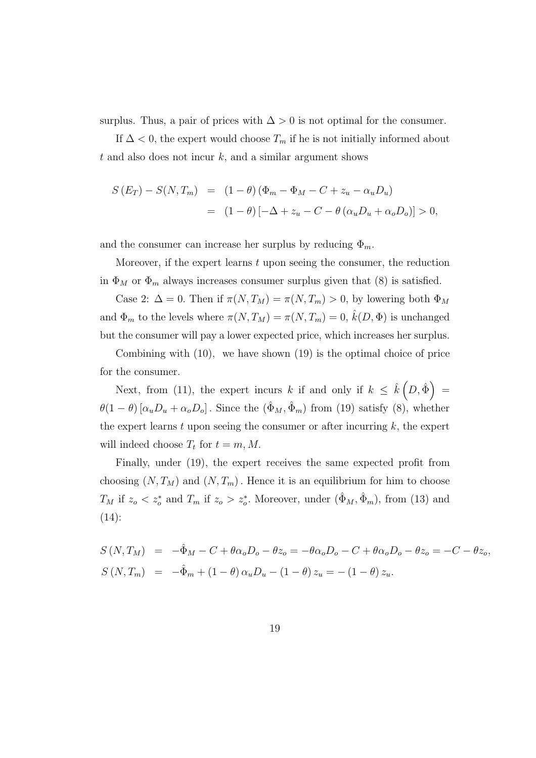surplus. Thus, a pair of prices with  $\Delta > 0$  is not optimal for the consumer.

If  $\Delta$  < 0, the expert would choose  $T_m$  if he is not initially informed about  $t$  and also does not incur  $k$ , and a similar argument shows

$$
S(E_T) - S(N, T_m) = (1 - \theta) (\Phi_m - \Phi_M - C + z_u - \alpha_u D_u)
$$
  
= 
$$
(1 - \theta) [-\Delta + z_u - C - \theta (\alpha_u D_u + \alpha_o D_o)] > 0,
$$

and the consumer can increase her surplus by reducing  $\Phi_m$ .

Moreover, if the expert learns  $t$  upon seeing the consumer, the reduction in  $\Phi_M$  or  $\Phi_m$  always increases consumer surplus given that (8) is satisfied.

Case 2:  $\Delta = 0$ . Then if  $\pi(N, T_M) = \pi(N, T_m) > 0$ , by lowering both  $\Phi_M$ and  $\Phi_m$  to the levels where  $\pi(N,T_M) = \pi(N,T_m) = 0$ ,  $\hat{k}(D,\Phi)$  is unchanged but the consumer will pay a lower expected price, which increases her surplus.

Combining with (10), we have shown (19) is the optimal choice of price for the consumer.

Next, from (11), the expert incurs k if and only if  $k \leq \hat{k}(D, \hat{\Phi}) =$  $\theta(1-\theta) [\alpha_u D_u + \alpha_o D_o]$ . Since the  $(\hat{\Phi}_M, \hat{\Phi}_m)$  from (19) satisfy (8), whether the expert learns t upon seeing the consumer or after incurring  $k$ , the expert will indeed choose  $T_t$  for  $t = m, M$ .

Finally, under (19), the expert receives the same expected profit from choosing  $(N, T_M)$  and  $(N, T_m)$ . Hence it is an equilibrium for him to choose  $T_M$  if  $z_o < z_o^*$  and  $T_m$  if  $z_o > z_o^*$ . Moreover, under  $(\hat{\Phi}_M, \hat{\Phi}_m)$ , from (13) and  $(14)$ :

$$
S(N,T_M) = -\hat{\Phi}_M - C + \theta \alpha_o D_o - \theta z_o = -\theta \alpha_o D_o - C + \theta \alpha_o D_o - \theta z_o = -C - \theta z_o,
$$
  
\n
$$
S(N,T_m) = -\hat{\Phi}_m + (1-\theta) \alpha_u D_u - (1-\theta) z_u = -(1-\theta) z_u.
$$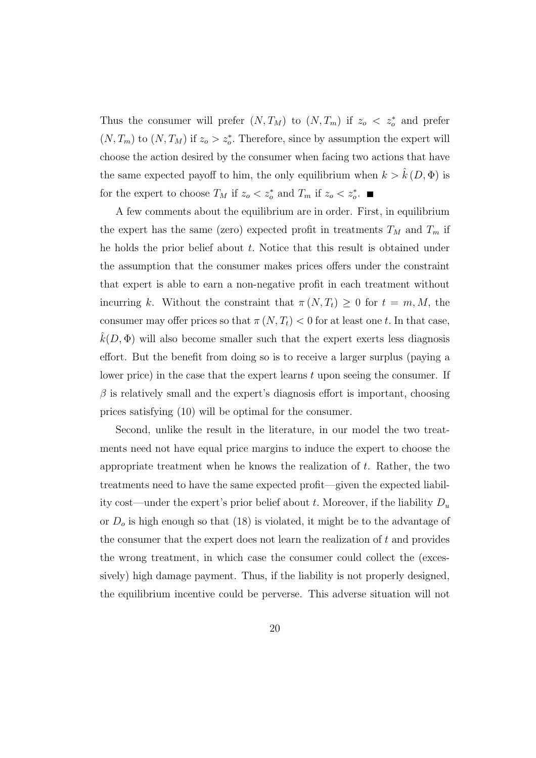Thus the consumer will prefer  $(N, T_M)$  to  $(N, T_m)$  if  $z_o \leq z_o^*$  and prefer  $(N, T_m)$  to  $(N, T_M)$  if  $z_o > z_o^*$ . Therefore, since by assumption the expert will choose the action desired by the consumer when facing two actions that have the same expected payoff to him, the only equilibrium when  $k > \hat{k}(D, \Phi)$  is for the expert to choose  $T_M$  if  $z_o < z_o^*$  and  $T_m$  if  $z_o < z_o^*$ .

A few comments about the equilibrium are in order. First, in equilibrium the expert has the same (zero) expected profit in treatments  $T_M$  and  $T_m$  if he holds the prior belief about  $t$ . Notice that this result is obtained under the assumption that the consumer makes prices offers under the constraint that expert is able to earn a non-negative profit in each treatment without incurring k. Without the constraint that  $\pi(N,T_t) \geq 0$  for  $t = m, M$ , the consumer may offer prices so that  $\pi(N, T_t) < 0$  for at least one t. In that case,  $k(D, \Phi)$  will also become smaller such that the expert exerts less diagnosis effort. But the benefit from doing so is to receive a larger surplus (paying a lower price) in the case that the expert learns  $t$  upon seeing the consumer. If  $\beta$  is relatively small and the expert's diagnosis effort is important, choosing prices satisfying (10) will be optimal for the consumer.

Second, unlike the result in the literature, in our model the two treatments need not have equal price margins to induce the expert to choose the appropriate treatment when he knows the realization of t. Rather, the two treatments need to have the same expected profit—given the expected liability cost—under the expert's prior belief about t. Moreover, if the liability  $D_u$ or  $D<sub>o</sub>$  is high enough so that (18) is violated, it might be to the advantage of the consumer that the expert does not learn the realization of  $t$  and provides the wrong treatment, in which case the consumer could collect the (excessively) high damage payment. Thus, if the liability is not properly designed, the equilibrium incentive could be perverse. This adverse situation will not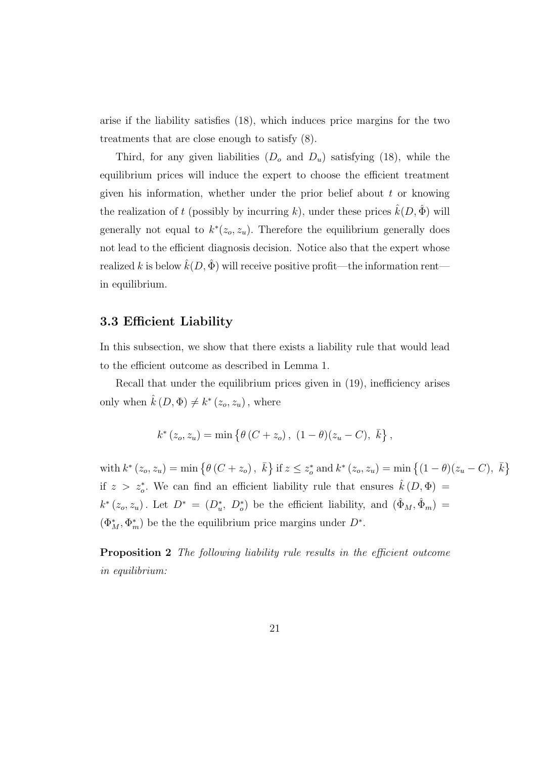arise if the liability satisfies (18), which induces price margins for the two treatments that are close enough to satisfy (8).

Third, for any given liabilities  $(D_0 \text{ and } D_u)$  satisfying (18), while the equilibrium prices will induce the expert to choose the efficient treatment given his information, whether under the prior belief about  $t$  or knowing the realization of t (possibly by incurring k), under these prices  $\hat{k}(D, \hat{\Phi})$  will generally not equal to  $k^*(z_o, z_u)$ . Therefore the equilibrium generally does not lead to the efficient diagnosis decision. Notice also that the expert whose realized k is below  $\hat{k}(D, \hat{\Phi})$  will receive positive profit—the information rent in equilibrium.

#### 3.3 Efficient Liability

In this subsection, we show that there exists a liability rule that would lead to the efficient outcome as described in Lemma 1.

Recall that under the equilibrium prices given in (19), inefficiency arises only when  $\hat{k}(D, \Phi) \neq k^*(z_o, z_u)$ , where

$$
k^*(z_o, z_u) = \min \{ \theta (C + z_o), (1 - \theta)(z_u - C), \bar{k} \},
$$

with  $k^* (z_o, z_u) = \min \{ \theta (C + z_o), \bar{k} \}$  if  $z \leq z_o^*$  and  $k^* (z_o, z_u) = \min \{ (1 - \theta)(z_u - C), \bar{k} \}$ if  $z > z_o^*$ . We can find an efficient liability rule that ensures  $\hat{k}(D, \Phi) =$  $k^*(z_o, z_u)$ . Let  $D^* = (D^*_u, D^*_o)$  be the efficient liability, and  $(\hat{\Phi}_M, \hat{\Phi}_m)$  $(\Phi_M^*, \Phi_m^*)$  be the the equilibrium price margins under  $D^*$ .

**Proposition 2** The following liability rule results in the efficient outcome in equilibrium: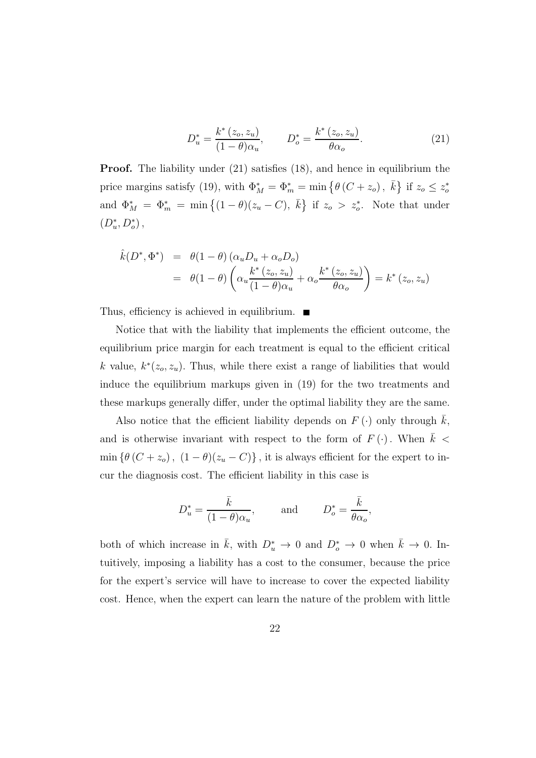$$
D_u^* = \frac{k^* (z_o, z_u)}{(1 - \theta)\alpha_u}, \qquad D_o^* = \frac{k^* (z_o, z_u)}{\theta \alpha_o}.
$$
 (21)

**Proof.** The liability under (21) satisfies (18), and hence in equilibrium the price margins satisfy (19), with  $\Phi_M^* = \Phi_m^* = \min \{ \theta (C + z_o), \bar{k} \}$  if  $z_o \leq z_o^*$ and  $\Phi_M^* = \Phi_m^* = \min\{(1-\theta)(z_u - C), \bar{k}\}\$ if  $z_o > z_o^*$ . Note that under  $(D_u^*, D_o^*)$ ,

$$
\hat{k}(D^*, \Phi^*) = \theta(1-\theta) (\alpha_u D_u + \alpha_o D_o)
$$
  
= 
$$
\theta(1-\theta) \left( \alpha_u \frac{k^*(z_o, z_u)}{(1-\theta)\alpha_u} + \alpha_o \frac{k^*(z_o, z_u)}{\theta \alpha_o} \right) = k^*(z_o, z_u)
$$

Thus, efficiency is achieved in equilibrium.  $\blacksquare$ 

Notice that with the liability that implements the efficient outcome, the equilibrium price margin for each treatment is equal to the efficient critical k value,  $k^*(z_o, z_u)$ . Thus, while there exist a range of liabilities that would induce the equilibrium markups given in (19) for the two treatments and these markups generally differ, under the optimal liability they are the same.

Also notice that the efficient liability depends on  $F(\cdot)$  only through k, and is otherwise invariant with respect to the form of  $F(\cdot)$ . When  $k <$ min { $\theta(C + z_o)$ ,  $(1 - \theta)(z_u - C)$ }, it is always efficient for the expert to incur the diagnosis cost. The efficient liability in this case is

$$
D_u^* = \frac{\bar{k}}{(1-\theta)\alpha_u}
$$
, and  $D_o^* = \frac{\bar{k}}{\theta\alpha_o}$ ,

both of which increase in  $\bar{k}$ , with  $D_u^* \to 0$  and  $D_o^* \to 0$  when  $\bar{k} \to 0$ . Intuitively, imposing a liability has a cost to the consumer, because the price for the expert's service will have to increase to cover the expected liability cost. Hence, when the expert can learn the nature of the problem with little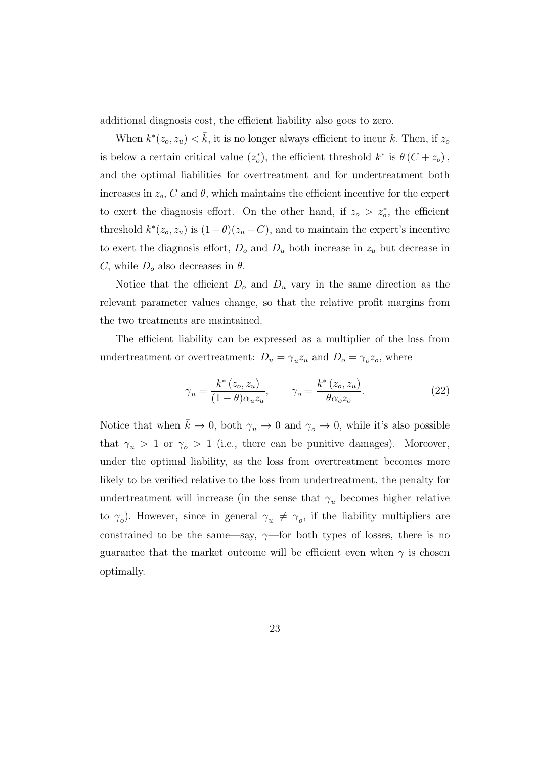additional diagnosis cost, the efficient liability also goes to zero.

When  $k^*(z_o, z_u) < \bar{k}$ , it is no longer always efficient to incur k. Then, if  $z_o$ is below a certain critical value  $(z_o^*)$ , the efficient threshold  $k^*$  is  $\theta(C + z_o)$ , and the optimal liabilities for overtreatment and for undertreatment both increases in  $z_o$ , C and  $\theta$ , which maintains the efficient incentive for the expert to exert the diagnosis effort. On the other hand, if  $z_0 > z_0^*$ , the efficient threshold  $k^*(z_o, z_u)$  is  $(1 - \theta)(z_u - C)$ , and to maintain the expert's incentive to exert the diagnosis effort,  $D<sub>o</sub>$  and  $D<sub>u</sub>$  both increase in  $z<sub>u</sub>$  but decrease in C, while  $D<sub>o</sub>$  also decreases in  $\theta$ .

Notice that the efficient  $D<sub>o</sub>$  and  $D<sub>u</sub>$  vary in the same direction as the relevant parameter values change, so that the relative profit margins from the two treatments are maintained.

The efficient liability can be expressed as a multiplier of the loss from undertreatment or overtreatment:  $D_u = \gamma_u z_u$  and  $D_o = \gamma_o z_o$ , where

$$
\gamma_u = \frac{k^*(z_o, z_u)}{(1 - \theta)\alpha_u z_u}, \qquad \gamma_o = \frac{k^*(z_o, z_u)}{\theta \alpha_o z_o}.
$$
\n(22)

Notice that when  $\bar{k} \to 0$ , both  $\gamma_u \to 0$  and  $\gamma_o \to 0$ , while it's also possible that  $\gamma_u > 1$  or  $\gamma_o > 1$  (i.e., there can be punitive damages). Moreover, under the optimal liability, as the loss from overtreatment becomes more likely to be verified relative to the loss from undertreatment, the penalty for undertreatment will increase (in the sense that  $\gamma_u$  becomes higher relative to  $\gamma_o$ ). However, since in general  $\gamma_u \neq \gamma_o$ , if the liability multipliers are constrained to be the same—say,  $\gamma$ —for both types of losses, there is no guarantee that the market outcome will be efficient even when  $\gamma$  is chosen optimally.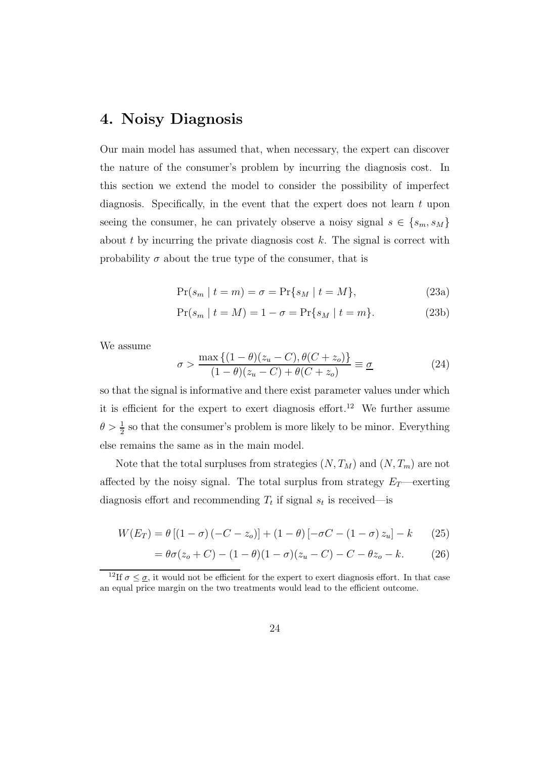### 4. Noisy Diagnosis

Our main model has assumed that, when necessary, the expert can discover the nature of the consumer's problem by incurring the diagnosis cost. In this section we extend the model to consider the possibility of imperfect diagnosis. Specifically, in the event that the expert does not learn  $t$  upon seeing the consumer, he can privately observe a noisy signal  $s \in \{s_m, s_M\}$ about  $t$  by incurring the private diagnosis cost  $k$ . The signal is correct with probability  $\sigma$  about the true type of the consumer, that is

$$
\Pr(s_m \mid t = m) = \sigma = \Pr\{s_M \mid t = M\},\tag{23a}
$$

$$
Pr(s_m | t = M) = 1 - \sigma = Pr\{s_M | t = m\}.
$$
 (23b)

We assume

$$
\sigma > \frac{\max\left\{ (1-\theta)(z_u - C), \theta(C + z_o) \right\}}{(1-\theta)(z_u - C) + \theta(C + z_o)} \equiv \underline{\sigma}
$$
\n(24)

so that the signal is informative and there exist parameter values under which it is efficient for the expert to exert diagnosis effort.<sup>12</sup> We further assume  $\theta > \frac{1}{2}$  so that the consumer's problem is more likely to be minor. Everything else remains the same as in the main model.

Note that the total surpluses from strategies  $(N, T_M)$  and  $(N, T_m)$  are not affected by the noisy signal. The total surplus from strategy  $E_T$ —exerting diagnosis effort and recommending  $T_t$  if signal  $s_t$  is received—is

$$
W(E_T) = \theta [(1 - \sigma) (-C - z_o)] + (1 - \theta) [-\sigma C - (1 - \sigma) z_u] - k
$$
 (25)

$$
= \theta \sigma(z_o + C) - (1 - \theta)(1 - \sigma)(z_u - C) - C - \theta z_o - k. \tag{26}
$$

<sup>&</sup>lt;sup>12</sup>If  $\sigma \leq \underline{\sigma}$ , it would not be efficient for the expert to exert diagnosis effort. In that case an equal price margin on the two treatments would lead to the efficient outcome.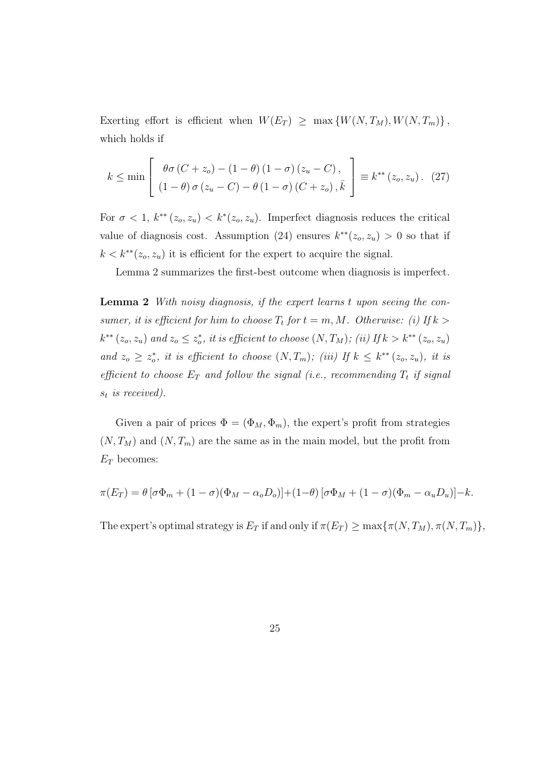Exerting effort is efficient when  $W(E_T) \geq \max \{W(N,T_M), W(N,T_m)\},$ which holds if

$$
k \le \min\left[\begin{array}{c} \theta\sigma\left(C+z_o\right) - \left(1-\theta\right)\left(1-\sigma\right)\left(z_u - C\right), \\ \left(1-\theta\right)\sigma\left(z_u - C\right) - \theta\left(1-\sigma\right)\left(C+z_o\right), \bar{k} \end{array}\right] \equiv k^{**}\left(z_o, z_u\right). \tag{27}
$$

For  $\sigma < 1$ ,  $k^{**}(z_o, z_u) < k^{*}(z_o, z_u)$ . Imperfect diagnosis reduces the critical value of diagnosis cost. Assumption (24) ensures  $k^{**}(z_o, z_u) > 0$  so that if  $k < k^{**}(z_o, z_u)$  it is efficient for the expert to acquire the signal.

Lemma 2 summarizes the first-best outcome when diagnosis is imperfect.

Lemma 2 With noisy diagnosis, if the expert learns t upon seeing the consumer, it is efficient for him to choose  $T_t$  for  $t = m, M$ . Otherwise: (i) If  $k >$  $k^{**}(z_o, z_u)$  and  $z_o \leq z_o^*$ , it is efficient to choose  $(N, T_M)$ ; (ii) If  $k > k^{**}(z_o, z_u)$ and  $z_o \geq z_o^*$ , it is efficient to choose  $(N, T_m)$ ; (iii) If  $k \leq k^{**}(z_o, z_u)$ , it is efficient to choose  $E_T$  and follow the signal (i.e., recommending  $T_t$  if signal  $s_t$  is received).

Given a pair of prices  $\Phi = (\Phi_M, \Phi_m)$ , the expert's profit from strategies  $(N, T_M)$  and  $(N, T_m)$  are the same as in the main model, but the profit from  $E_T$  becomes:

$$
\pi(E_T) = \theta \left[ \sigma \Phi_m + (1 - \sigma)(\Phi_M - \alpha_o D_o) \right] + (1 - \theta) \left[ \sigma \Phi_M + (1 - \sigma)(\Phi_m - \alpha_u D_u) \right] - k.
$$

The expert's optimal strategy is  $E_T$  if and only if  $\pi(E_T) \ge \max{\{\pi(N, T_M), \pi(N, T_m)\}}$ ,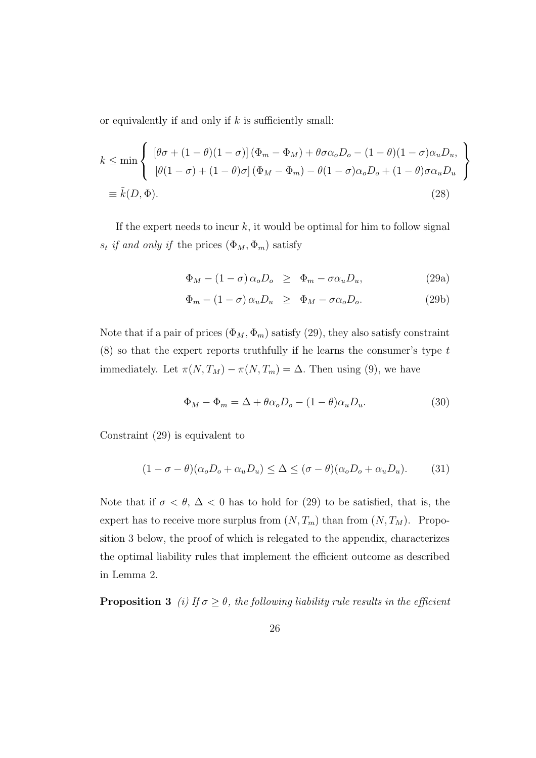or equivalently if and only if  $k$  is sufficiently small:

$$
k \le \min \left\{ \begin{array}{l} \left[\theta\sigma + (1-\theta)(1-\sigma)\right](\Phi_m - \Phi_M) + \theta\sigma\alpha_o D_o - (1-\theta)(1-\sigma)\alpha_u D_u, \\ \left[\theta(1-\sigma) + (1-\theta)\sigma\right](\Phi_M - \Phi_m) - \theta(1-\sigma)\alpha_o D_o + (1-\theta)\sigma\alpha_u D_u \end{array} \right\}
$$
  

$$
\equiv \tilde{k}(D,\Phi). \tag{28}
$$

If the expert needs to incur  $k$ , it would be optimal for him to follow signal  $s_t$  if and only if the prices  $(\Phi_M, \Phi_m)$  satisfy

$$
\Phi_M - (1 - \sigma) \alpha_o D_o \geq \Phi_m - \sigma \alpha_u D_u, \tag{29a}
$$

$$
\Phi_m - (1 - \sigma) \alpha_u D_u \geq \Phi_M - \sigma \alpha_o D_o.
$$
\n(29b)

Note that if a pair of prices  $(\Phi_M, \Phi_m)$  satisfy (29), they also satisfy constraint  $(8)$  so that the expert reports truthfully if he learns the consumer's type t immediately. Let  $\pi(N, T_M) - \pi(N, T_m) = \Delta$ . Then using (9), we have

$$
\Phi_M - \Phi_m = \Delta + \theta \alpha_o D_o - (1 - \theta) \alpha_u D_u.
$$
\n(30)

Constraint (29) is equivalent to

$$
(1 - \sigma - \theta)(\alpha_o D_o + \alpha_u D_u) \leq \Delta \leq (\sigma - \theta)(\alpha_o D_o + \alpha_u D_u). \tag{31}
$$

Note that if  $\sigma < \theta$ ,  $\Delta < 0$  has to hold for (29) to be satisfied, that is, the expert has to receive more surplus from  $(N, T_m)$  than from  $(N, T_M)$ . Proposition 3 below, the proof of which is relegated to the appendix, characterizes the optimal liability rules that implement the efficient outcome as described in Lemma 2.

**Proposition 3** (i) If  $\sigma \geq \theta$ , the following liability rule results in the efficient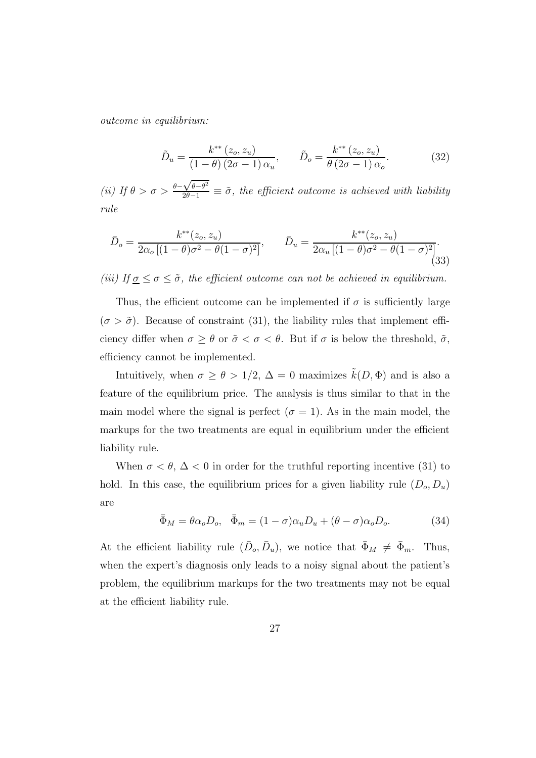outcome in equilibrium:

$$
\tilde{D}_u = \frac{k^{**}\left(z_o, z_u\right)}{\left(1 - \theta\right)\left(2\sigma - 1\right)\alpha_u}, \qquad \tilde{D}_o = \frac{k^{**}\left(z_o, z_u\right)}{\theta\left(2\sigma - 1\right)\alpha_o}.\tag{32}
$$

(ii) If  $\theta > \sigma > \frac{\theta - \sqrt{\theta - \theta^2}}{2\theta - 1} \equiv \tilde{\sigma}$ , the efficient outcome is achieved with liability rule

$$
\bar{D}_o = \frac{k^{**}(z_o, z_u)}{2\alpha_o \left[ (1-\theta)\sigma^2 - \theta(1-\sigma)^2 \right]}, \qquad \bar{D}_u = \frac{k^{**}(z_o, z_u)}{2\alpha_u \left[ (1-\theta)\sigma^2 - \theta(1-\sigma)^2 \right]}.
$$
\n(33)

(iii) If  $\underline{\sigma} \leq \sigma \leq \tilde{\sigma}$ , the efficient outcome can not be achieved in equilibrium.

Thus, the efficient outcome can be implemented if  $\sigma$  is sufficiently large  $(\sigma > \tilde{\sigma})$ . Because of constraint (31), the liability rules that implement efficiency differ when  $\sigma \geq \theta$  or  $\tilde{\sigma} < \sigma < \theta$ . But if  $\sigma$  is below the threshold,  $\tilde{\sigma}$ , efficiency cannot be implemented.

Intuitively, when  $\sigma \ge \theta > 1/2$ ,  $\Delta = 0$  maximizes  $\tilde{k}(D, \Phi)$  and is also a feature of the equilibrium price. The analysis is thus similar to that in the main model where the signal is perfect ( $\sigma = 1$ ). As in the main model, the markups for the two treatments are equal in equilibrium under the efficient liability rule.

When  $\sigma < \theta$ ,  $\Delta < 0$  in order for the truthful reporting incentive (31) to hold. In this case, the equilibrium prices for a given liability rule  $(D_o, D_u)$ are

$$
\bar{\Phi}_M = \theta \alpha_o D_o, \quad \bar{\Phi}_m = (1 - \sigma) \alpha_u D_u + (\theta - \sigma) \alpha_o D_o. \tag{34}
$$

At the efficient liability rule  $(\bar{D}_o, \bar{D}_u)$ , we notice that  $\bar{\Phi}_M \neq \bar{\Phi}_m$ . Thus, when the expert's diagnosis only leads to a noisy signal about the patient's problem, the equilibrium markups for the two treatments may not be equal at the efficient liability rule.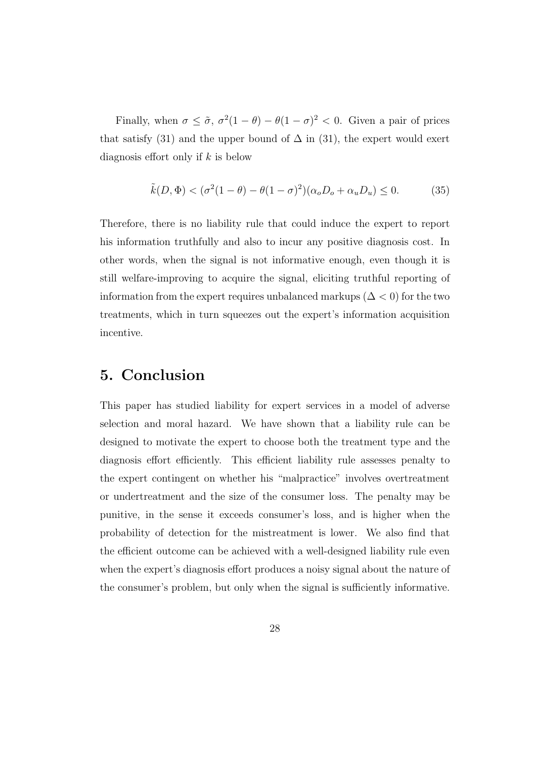Finally, when  $\sigma \leq \tilde{\sigma}$ ,  $\sigma^2(1-\theta) - \theta(1-\sigma)^2 < 0$ . Given a pair of prices that satisfy (31) and the upper bound of  $\Delta$  in (31), the expert would exert diagnosis effort only if  $k$  is below

$$
\tilde{k}(D,\Phi) < (\sigma^2(1-\theta) - \theta(1-\sigma)^2)(\alpha_o D_o + \alpha_u D_u) \le 0. \tag{35}
$$

Therefore, there is no liability rule that could induce the expert to report his information truthfully and also to incur any positive diagnosis cost. In other words, when the signal is not informative enough, even though it is still welfare-improving to acquire the signal, eliciting truthful reporting of information from the expert requires unbalanced markups ( $\Delta$  < 0) for the two treatments, which in turn squeezes out the expert's information acquisition incentive.

### 5. Conclusion

This paper has studied liability for expert services in a model of adverse selection and moral hazard. We have shown that a liability rule can be designed to motivate the expert to choose both the treatment type and the diagnosis effort efficiently. This efficient liability rule assesses penalty to the expert contingent on whether his "malpractice" involves overtreatment or undertreatment and the size of the consumer loss. The penalty may be punitive, in the sense it exceeds consumer's loss, and is higher when the probability of detection for the mistreatment is lower. We also find that the efficient outcome can be achieved with a well-designed liability rule even when the expert's diagnosis effort produces a noisy signal about the nature of the consumer's problem, but only when the signal is sufficiently informative.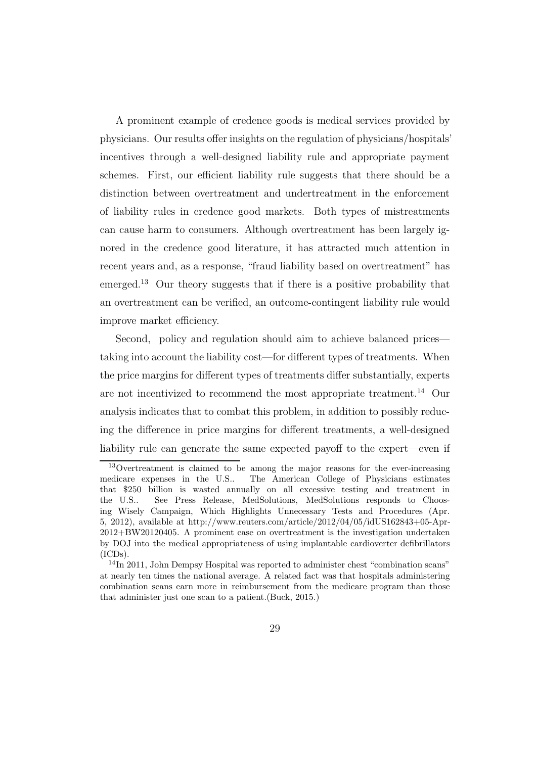A prominent example of credence goods is medical services provided by physicians. Our results offer insights on the regulation of physicians/hospitals' incentives through a well-designed liability rule and appropriate payment schemes. First, our efficient liability rule suggests that there should be a distinction between overtreatment and undertreatment in the enforcement of liability rules in credence good markets. Both types of mistreatments can cause harm to consumers. Although overtreatment has been largely ignored in the credence good literature, it has attracted much attention in recent years and, as a response, "fraud liability based on overtreatment" has emerged.<sup>13</sup> Our theory suggests that if there is a positive probability that an overtreatment can be verified, an outcome-contingent liability rule would improve market efficiency.

Second, policy and regulation should aim to achieve balanced prices taking into account the liability cost—for different types of treatments. When the price margins for different types of treatments differ substantially, experts are not incentivized to recommend the most appropriate treatment.<sup>14</sup> Our analysis indicates that to combat this problem, in addition to possibly reducing the difference in price margins for different treatments, a well-designed liability rule can generate the same expected payoff to the expert—even if

<sup>13</sup>Overtreatment is claimed to be among the major reasons for the ever-increasing medicare expenses in the U.S.. The American College of Physicians estimates that \$250 billion is wasted annually on all excessive testing and treatment in the U.S.. See Press Release, MedSolutions, MedSolutions responds to Choosing Wisely Campaign, Which Highlights Unnecessary Tests and Procedures (Apr. 5, 2012), available at http://www.reuters.com/article/2012/04/05/idUS162843+05-Apr-2012+BW20120405. A prominent case on overtreatment is the investigation undertaken by DOJ into the medical appropriateness of using implantable cardioverter defibrillators (ICDs).

<sup>&</sup>lt;sup>14</sup>In 2011, John Dempsy Hospital was reported to administer chest "combination scans" at nearly ten times the national average. A related fact was that hospitals administering combination scans earn more in reimbursement from the medicare program than those that administer just one scan to a patient.(Buck, 2015.)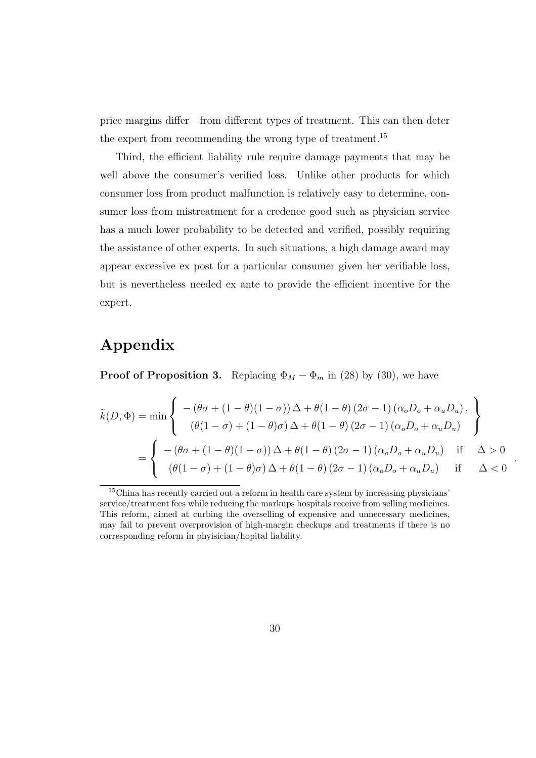price margins differ—from different types of treatment. This can then deter the expert from recommending the wrong type of treatment.<sup>15</sup>

Third, the efficient liability rule require damage payments that may be well above the consumer's verified loss. Unlike other products for which consumer loss from product malfunction is relatively easy to determine, consumer loss from mistreatment for a credence good such as physician service has a much lower probability to be detected and verified, possibly requiring the assistance of other experts. In such situations, a high damage award may appear excessive ex post for a particular consumer given her verifiable loss, but is nevertheless needed ex ante to provide the efficient incentive for the expert.

### Appendix

**Proof of Proposition 3.** Replacing  $\Phi_M - \Phi_m$  in (28) by (30), we have

$$
\tilde{k}(D, \Phi) = \min \left\{ \begin{array}{l} -(\theta \sigma + (1 - \theta)(1 - \sigma)) \Delta + \theta (1 - \theta) (2\sigma - 1) (\alpha_o D_o + \alpha_u D_u), \\ (\theta (1 - \sigma) + (1 - \theta) \sigma) \Delta + \theta (1 - \theta) (2\sigma - 1) (\alpha_o D_o + \alpha_u D_u) \end{array} \right\}
$$
\n
$$
= \left\{ \begin{array}{l} -(\theta \sigma + (1 - \theta)(1 - \sigma)) \Delta + \theta (1 - \theta) (2\sigma - 1) (\alpha_o D_o + \alpha_u D_u) & \text{if } \Delta > 0 \\ (\theta (1 - \sigma) + (1 - \theta) \sigma) \Delta + \theta (1 - \theta) (2\sigma - 1) (\alpha_o D_o + \alpha_u D_u) & \text{if } \Delta < 0 \end{array} \right.
$$

.

<sup>&</sup>lt;sup>15</sup>China has recently carried out a reform in health care system by increasing physicians' service/treatment fees while reducing the markups hospitals receive from selling medicines. This reform, aimed at curbing the overselling of expensive and unnecessary medicines, may fail to prevent overprovision of high-margin checkups and treatments if there is no corresponding reform in phyisician/hopital liability.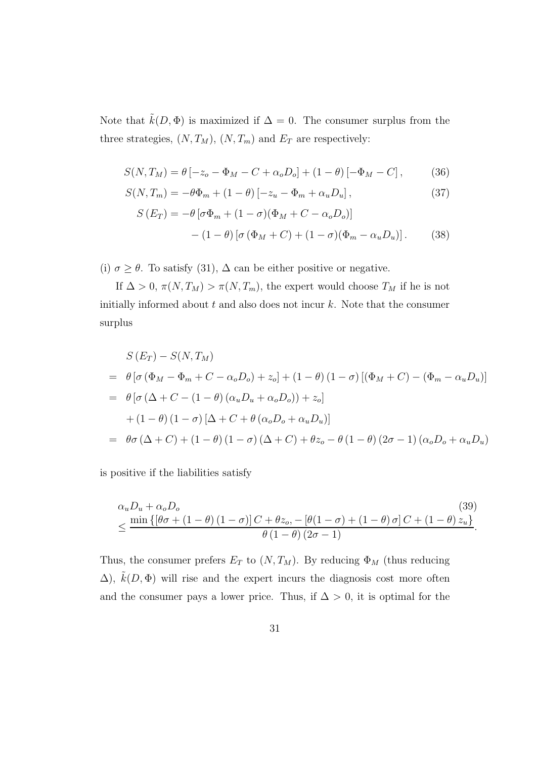Note that  $\tilde{k}(D, \Phi)$  is maximized if  $\Delta = 0$ . The consumer surplus from the three strategies,  $(N, T_M)$ ,  $(N, T_m)$  and  $E_T$  are respectively:

$$
S(N,T_M) = \theta \left[ -z_o - \Phi_M - C + \alpha_o D_o \right] + (1 - \theta) \left[ -\Phi_M - C \right],\tag{36}
$$

$$
S(N,T_m) = -\theta \Phi_m + (1-\theta) \left[ -z_u - \Phi_m + \alpha_u D_u \right],\tag{37}
$$

$$
S(E_T) = -\theta \left[ \sigma \Phi_m + (1 - \sigma)(\Phi_M + C - \alpha_o D_o) \right]
$$

$$
- (1 - \theta) \left[ \sigma (\Phi_M + C) + (1 - \sigma)(\Phi_m - \alpha_u D_u) \right]. \tag{38}
$$

(i)  $\sigma \geq \theta$ . To satisfy (31),  $\Delta$  can be either positive or negative.

If  $\Delta > 0$ ,  $\pi(N, T_M) > \pi(N, T_m)$ , the expert would choose  $T_M$  if he is not initially informed about  $t$  and also does not incur  $k$ . Note that the consumer surplus

$$
S(E_T) - S(N, T_M)
$$
  
=  $\theta \left[ \sigma (\Phi_M - \Phi_m + C - \alpha_o D_o) + z_o \right] + (1 - \theta) (1 - \sigma) \left[ (\Phi_M + C) - (\Phi_m - \alpha_u D_u) \right]$   
=  $\theta \left[ \sigma (\Delta + C - (1 - \theta) (\alpha_u D_u + \alpha_o D_o)) + z_o \right]$   
+  $(1 - \theta) (1 - \sigma) [\Delta + C + \theta (\alpha_o D_o + \alpha_u D_u)]$   
=  $\theta \sigma (\Delta + C) + (1 - \theta) (1 - \sigma) (\Delta + C) + \theta z_o - \theta (1 - \theta) (2\sigma - 1) (\alpha_o D_o + \alpha_u D_u)$ 

is positive if the liabilities satisfy

$$
\alpha_{u}D_{u} + \alpha_{o}D_{o}
$$
\n
$$
\leq \frac{\min\{[\theta\sigma + (1-\theta)(1-\sigma)]C + \theta z_{o}, -[\theta(1-\sigma) + (1-\theta)\sigma]C + (1-\theta)z_{u}\}}{\theta(1-\theta)(2\sigma-1)}.
$$
\n(39)

Thus, the consumer prefers  $E_T$  to  $(N, T_M)$ . By reducing  $\Phi_M$  (thus reducing  $\Delta$ ),  $\hat{k}(D, \Phi)$  will rise and the expert incurs the diagnosis cost more often and the consumer pays a lower price. Thus, if  $\Delta > 0$ , it is optimal for the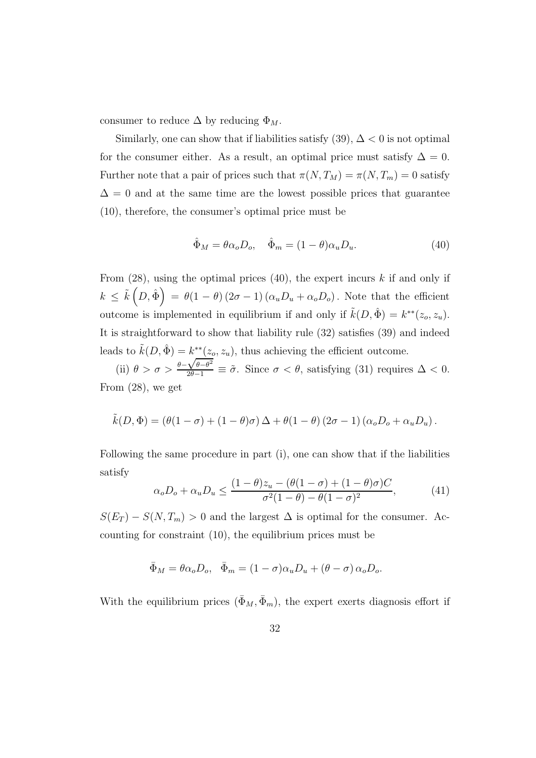consumer to reduce  $\Delta$  by reducing  $\Phi_M$ .

Similarly, one can show that if liabilities satisfy  $(39)$ ,  $\Delta < 0$  is not optimal for the consumer either. As a result, an optimal price must satisfy  $\Delta = 0$ . Further note that a pair of prices such that  $\pi(N, T_M) = \pi(N, T_m) = 0$  satisfy  $\Delta = 0$  and at the same time are the lowest possible prices that guarantee (10), therefore, the consumer's optimal price must be

$$
\hat{\Phi}_M = \theta \alpha_o D_o, \quad \hat{\Phi}_m = (1 - \theta) \alpha_u D_u.
$$
\n(40)

From  $(28)$ , using the optimal prices  $(40)$ , the expert incurs k if and only if  $k \leq \tilde{k}\left(D, \hat{\Phi}\right) = \theta(1-\theta)\left(2\sigma - 1\right)(\alpha_u D_u + \alpha_o D_o)$ . Note that the efficient outcome is implemented in equilibrium if and only if  $\tilde{k}(D, \hat{\Phi}) = k^{**}(z_o, z_u)$ . It is straightforward to show that liability rule (32) satisfies (39) and indeed leads to  $\tilde{k}(D, \hat{\Phi}) = k^{**}(z_o, z_u)$ , thus achieving the efficient outcome.

(ii)  $\theta > \sigma > \frac{\theta - \sqrt{\theta - \theta^2}}{2\theta - 1} \equiv \tilde{\sigma}$ . Since  $\sigma < \theta$ , satisfying (31) requires  $\Delta < 0$ . From (28), we get

$$
\tilde{k}(D,\Phi) = (\theta(1-\sigma) + (1-\theta)\sigma) \Delta + \theta(1-\theta) (2\sigma - 1) (\alpha_o D_o + \alpha_u D_u).
$$

Following the same procedure in part (i), one can show that if the liabilities satisfy

$$
\alpha_o D_o + \alpha_u D_u \le \frac{(1-\theta)z_u - (\theta(1-\sigma) + (1-\theta)\sigma)C}{\sigma^2(1-\theta) - \theta(1-\sigma)^2},
$$
(41)

 $S(E_T) - S(N, T_m) > 0$  and the largest  $\Delta$  is optimal for the consumer. Accounting for constraint (10), the equilibrium prices must be

$$
\bar{\Phi}_M = \theta \alpha_o D_o, \quad \bar{\Phi}_m = (1 - \sigma) \alpha_u D_u + (\theta - \sigma) \alpha_o D_o.
$$

With the equilibrium prices  $(\bar{\Phi}_M, \bar{\Phi}_m)$ , the expert exerts diagnosis effort if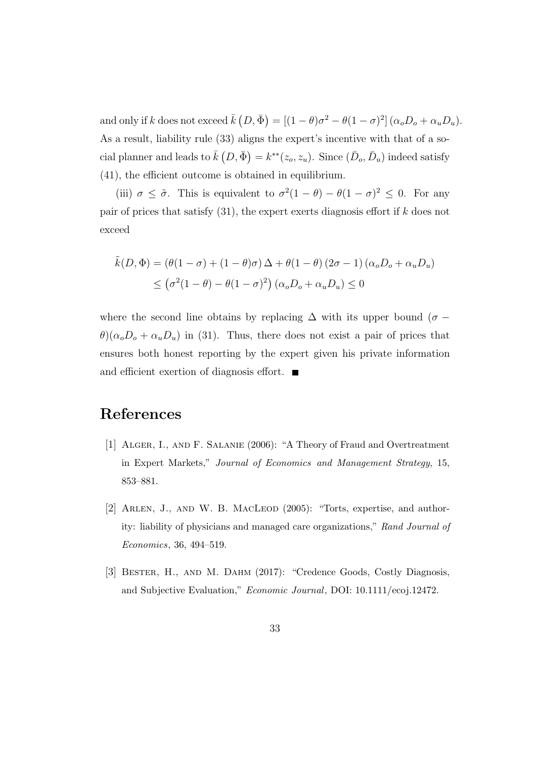and only if k does not exceed  $\bar{k}(D, \bar{\Phi}) = [(1 - \theta)\sigma^2 - \theta(1 - \sigma)^2] (\alpha_o D_o + \alpha_u D_u)$ . As a result, liability rule (33) aligns the expert's incentive with that of a social planner and leads to  $\bar{k}(D, \bar{\Phi}) = k^{**}(z_o, z_u)$ . Since  $(\bar{D}_o, \bar{D}_u)$  indeed satisfy (41), the efficient outcome is obtained in equilibrium.

(iii)  $\sigma \leq \tilde{\sigma}$ . This is equivalent to  $\sigma^2(1-\theta) - \theta(1-\sigma)^2 \leq 0$ . For any pair of prices that satisfy  $(31)$ , the expert exerts diagnosis effort if k does not exceed

$$
\tilde{k}(D,\Phi) = (\theta(1-\sigma) + (1-\theta)\sigma)\Delta + \theta(1-\theta)(2\sigma - 1)(\alpha_o D_o + \alpha_u D_u)
$$
  
 
$$
\leq (\sigma^2(1-\theta) - \theta(1-\sigma)^2)(\alpha_o D_o + \alpha_u D_u) \leq 0
$$

where the second line obtains by replacing  $\Delta$  with its upper bound ( $\sigma$  −  $\theta$ )( $\alpha_o D_o + \alpha_u D_u$ ) in (31). Thus, there does not exist a pair of prices that ensures both honest reporting by the expert given his private information and efficient exertion of diagnosis effort.

### References

- [1] Alger, I., and F. Salanie (2006): "A Theory of Fraud and Overtreatment in Expert Markets," Journal of Economics and Management Strategy, 15, 853–881.
- [2] Arlen, J., and W. B. MacLeod (2005): "Torts, expertise, and authority: liability of physicians and managed care organizations," Rand Journal of Economics, 36, 494–519.
- [3] BESTER, H., AND M. DAHM (2017): "Credence Goods, Costly Diagnosis, and Subjective Evaluation," Economic Journal, DOI: 10.1111/ecoj.12472.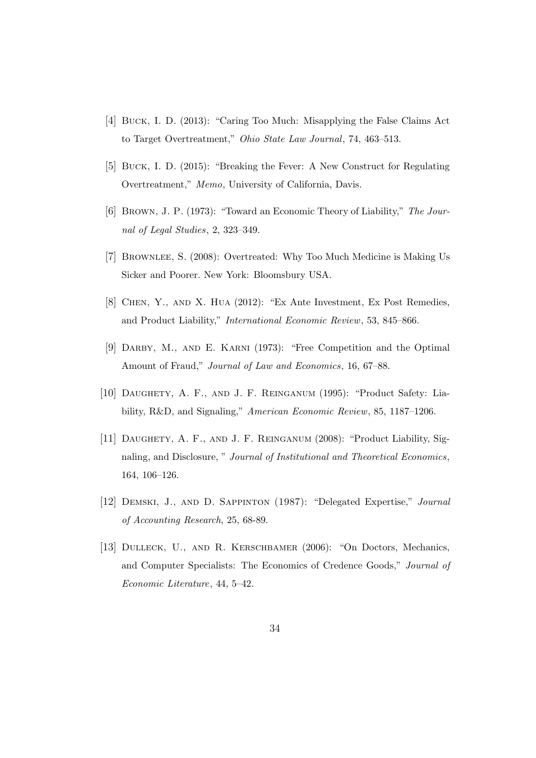- [4] Buck, I. D. (2013): "Caring Too Much: Misapplying the False Claims Act to Target Overtreatment," Ohio State Law Journal, 74, 463–513.
- [5] Buck, I. D. (2015): "Breaking the Fever: A New Construct for Regulating Overtreatment," Memo, University of California, Davis.
- [6] Brown, J. P. (1973): "Toward an Economic Theory of Liability," The Journal of Legal Studies, 2, 323–349.
- [7] Brownlee, S. (2008): Overtreated: Why Too Much Medicine is Making Us Sicker and Poorer. New York: Bloomsbury USA.
- [8] Chen, Y., and X. Hua (2012): "Ex Ante Investment, Ex Post Remedies, and Product Liability," International Economic Review, 53, 845–866.
- [9] Darby, M., and E. Karni (1973): "Free Competition and the Optimal Amount of Fraud," Journal of Law and Economics, 16, 67–88.
- [10] Daughety, A. F., and J. F. Reinganum (1995): "Product Safety: Liability, R&D, and Signaling," American Economic Review, 85, 1187–1206.
- [11] DAUGHETY, A. F., AND J. F. REINGANUM (2008): "Product Liability, Signaling, and Disclosure, " Journal of Institutional and Theoretical Economics, 164, 106–126.
- [12] Demski, J., and D. Sappinton (1987): "Delegated Expertise," Journal of Accounting Research, 25, 68-89.
- [13] Dulleck, U., and R. Kerschbamer (2006): "On Doctors, Mechanics, and Computer Specialists: The Economics of Credence Goods," Journal of Economic Literature, 44, 5–42.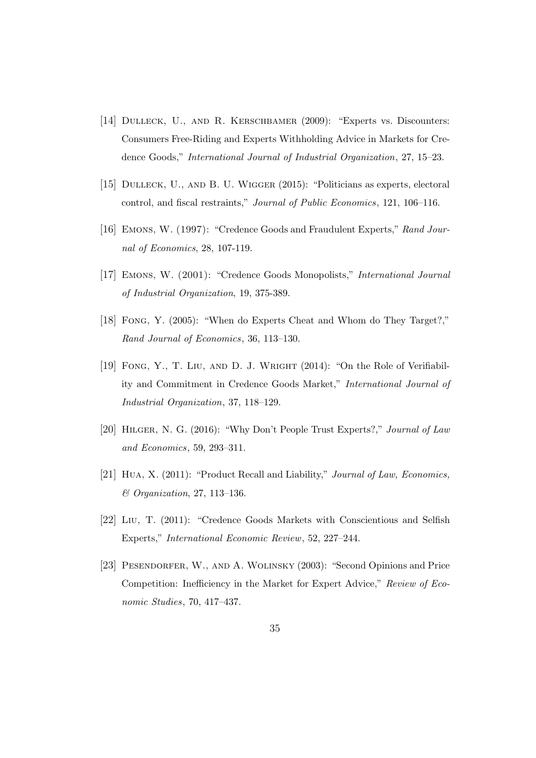- [14] Dulleck, U., and R. Kerschbamer (2009): "Experts vs. Discounters: Consumers Free-Riding and Experts Withholding Advice in Markets for Credence Goods," International Journal of Industrial Organization, 27, 15–23.
- [15] Dulleck, U., and B. U. Wigger (2015): "Politicians as experts, electoral control, and fiscal restraints," Journal of Public Economics, 121, 106–116.
- [16] Emons, W. (1997): "Credence Goods and Fraudulent Experts," Rand Journal of Economics, 28, 107-119.
- [17] Emons, W. (2001): "Credence Goods Monopolists," International Journal of Industrial Organization, 19, 375-389.
- [18] Fong, Y. (2005): "When do Experts Cheat and Whom do They Target?," Rand Journal of Economics, 36, 113–130.
- [19] FONG, Y., T. LIU, AND D. J. WRIGHT (2014): "On the Role of Verifiability and Commitment in Credence Goods Market," International Journal of Industrial Organization, 37, 118–129.
- [20] Hilger, N. G. (2016): "Why Don't People Trust Experts?," Journal of Law and Economics, 59, 293–311.
- [21] Hua, X. (2011): "Product Recall and Liability," Journal of Law, Economics, & Organization, 27, 113–136.
- [22] Liu, T. (2011): "Credence Goods Markets with Conscientious and Selfish Experts," International Economic Review, 52, 227–244.
- [23] Pesendorfer, W., and A. Wolinsky (2003): "Second Opinions and Price Competition: Inefficiency in the Market for Expert Advice," Review of Economic Studies, 70, 417–437.